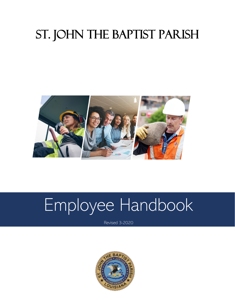## St. John the Baptist Parish



# Employee Handbook

Revised 3-2020

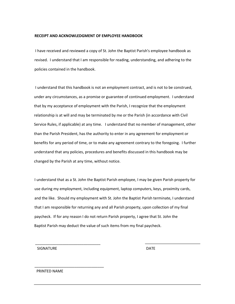#### **RECEIPT AND ACKNOWLEDGMENT OF EMPLOYEE HANDBOOK**

I have received and reviewed a copy of St. John the Baptist Parish's employee handbook as revised. I understand that I am responsible for reading, understanding, and adhering to the policies contained in the handbook.

I understand that this handbook is not an employment contract, and is not to be construed, under any circumstances, as a promise or guarantee of continued employment. I understand that by my acceptance of employment with the Parish, I recognize that the employment relationship is at will and may be terminated by me or the Parish (in accordance with Civil Service Rules, if applicable) at any time. I understand that no member of management, other than the Parish President, has the authority to enter in any agreement for employment or benefits for any period of time, or to make any agreement contrary to the foregoing. I further understand that any policies, procedures and benefits discussed in this handbook may be changed by the Parish at any time, without notice.

I understand that as a St. John the Baptist Parish employee, I may be given Parish property for use during my employment, including equipment, laptop computers, keys, proximity cards, and the like. Should my employment with St. John the Baptist Parish terminate, I understand that I am responsible for returning any and all Parish property, upon collection of my final paycheck. If for any reason I do not return Parish property, I agree that St. John the Baptist Parish may deduct the value of such items from my final paycheck.

SIGNATURE DATE

\_\_\_\_\_\_\_\_\_\_\_\_\_\_\_\_\_\_\_\_\_\_\_\_\_\_\_\_\_\_\_

\_\_\_\_\_\_\_\_\_\_\_\_\_\_\_\_\_\_\_\_\_\_\_\_\_\_\_\_\_\_\_\_\_

PRINTED NAME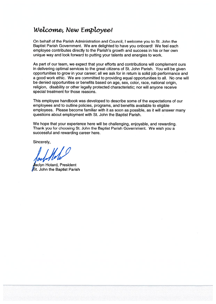## Welcome, New Employee!

On behalf of the Parish Administration and Council, I welcome you to St. John the Baptist Parish Government. We are delighted to have you onboard! We feel each employee contributes directly to the Parish's growth and success in his or her own unique way and look forward to putting your talents and energies to work.

As part of our team, we expect that your efforts and contributions will complement ours in delivering optimal services to the great citizens of St. John Parish. You will be given opportunities to grow in your career; all we ask for in return is solid job performance and a good work ethic. We are committed to providing equal opportunities to all. No one will be denied opportunities or benefits based on age, sex, color, race, national origin, religion, disability or other legally protected characteristic; nor will anyone receive special treatment for those reasons.

This employee handbook was developed to describe some of the expectations of our employees and to outline policies, programs, and benefits available to eligible employees. Please become familiar with it as soon as possible, as it will answer many questions about employment with St. John the Baptist Parish.

We hope that your experience here will be challenging, enjoyable, and rewarding. Thank you for choosing St. John the Baptist Parish Government. We wish you a successful and rewarding career here.

Sincerely,

aclyn Hotard, President **St. John the Baptist Parish**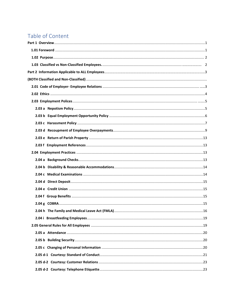## Table of Content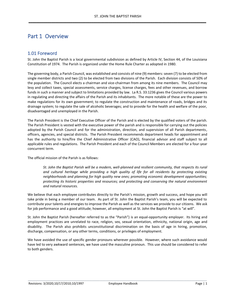### Part 1 Overview

#### 1.01 Foreword

St. John the Baptist Parish is a local governmental subdivision as defined by Article IV, Section 44, of the Louisiana Constitution of 1974. The Parish is organized under the Home Rule Charter as adopted in 1980.

The governing body, a Parish Council, was established and consists of nine (9) members: seven (7) to be elected from single member districts and two (2) to be elected from two divisions of the Parish. Each division consists of 50% of the population. The Council elects a chairman and vice-chairman from among its nine members. The Council may levy and collect taxes, special assessments, service charges, license charges, fees and other revenues, and borrow funds in such a manner and subject to limitations provided by law. La R.S. 33:1236 gives the Council various powers in regulating and directing the affairs of the Parish and its inhabitants. The more notable of these are the power to make regulations for its own government; to regulate the construction and maintenance of roads, bridges and its drainage system; to regulate the sale of alcoholic beverages; and to provide for the health and welfare of the poor, disadvantaged and unemployed in the Parish.

The Parish President is the Chief Executive Officer of the Parish and is elected by the qualified voters of the parish. The Parish President is vested with the executive power of the parish and is responsible for carrying out the policies adopted by the Parish Council and for the administration, direction, and supervision of all Parish departments, officers, agencies, and special districts. The Parish President recommends department heads for appointment and has the authority to hire/fire the Chief Administrative Officer (CAO), financial advisor and staff subject to all applicable rules and regulations. The Parish President and each of the Council Members are elected for a four-year concurrent term.

The official mission of the Parish is as follows:

*St. John the Baptist Parish will be a modern, well-planned and resilient community, that respects its rural and cultural heritage while providing a high quality of life for all residents by protecting existing neighborhoods and planning for high quality new ones; promoting economic development opportunities; protecting its historic properties and resources; and protecting and conserving the natural environment and natural resources.*

We believe that each employee contributes directly to the Parish's mission, growth and success, and hope you will take pride in being a member of our team. As part of St. John the Baptist Parish's team, you will be expected to contribute your talents and energies to improve the Parish as well as the services we provide to our citizens. We ask for job performance and a good attitude; however, all employment at St. John the Baptist Parish is "at will".

St. John the Baptist Parish (hereafter referred to as the "Parish") is an equal-opportunity employer. Its hiring and employment practices are unrelated to race, religion, sex, sexual orientation, ethnicity, national origin, age and disability. The Parish also prohibits unconstitutional discrimination on the basis of age in hiring, promotion, discharge, compensation, or any other terms, conditions, or privileges of employment.

We have avoided the use of specific gender pronouns wherever possible. However, where such avoidance would have led to very awkward sentences, we have used the masculine pronoun. This use should be considered to refer to both genders.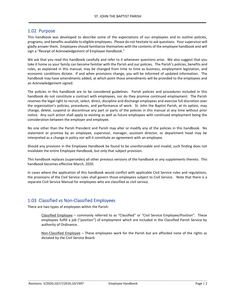#### 1.02 Purpose

This handbook was developed to describe some of the expectations of our employees and to outline policies, programs, and benefits available to eligible employees. Please do not hesitate to ask questions. Your supervisor will gladly answer them. Employees should familiarize themselves with the contents of the employee handbook and will sign a "Receipt of Acknowledgement of Employee Handbook."

We ask that you read this handbook carefully and refer to it whenever questions arise. We also suggest that you take it home so your family can become familiar with the Parish and our policies. The Parish's policies, benefits and rules, as explained in this manual, may be changed from time to time as business, employment legislation, and economic conditions dictate. If and when provisions change, you will be informed of updated information. The handbook may have amendments added, at which point those amendments will be provided to the employees and an Acknowledgement signed.

The policies in this handbook are to be considered guidelines. Parish policies and procedures included in this handbook do not constitute a contract with employees, nor do they promise continued employment. The Parish reserves the legal right to recruit, select, direct, discipline and discharge employees and exercise full discretion over the organization's policies, procedures, and performance of work. St. John the Baptist Parish, at its option, may change, delete, suspend or discontinue any part or parts of the policies in this manual at any time without prior notice. Any such action shall apply to existing as well as future employees with continued employment being the consideration between the employer and employee.

No one other than the Parish President and Parish may alter or modify any of the policies in this handbook. No statement or promise by an employee, supervisor, manager, assistant director, or department head may be interpreted as a change in policy nor will it constitute an agreement with an employee.

Should any provision in the Employee Handbook be found to be unenforceable and invalid, such finding does not invalidate the entire Employee Handbook, but only that subject provision.

This handbook replaces (supersedes) all other previous versions of the handbook or any supplements thereto. This handbook becomes effective March, 2020.

In cases where the application of this handbook would conflict with applicable Civil Service rules and regulations, the provisions of the Civil Service rules shall govern those employees subject to Civil Service. Note that there is a separate Civil Service Manual for employees who are classified as civil service.

#### 1.03 Classified vs Non-Classified Employees

There are two types of employees within the Parish:

Classified Employee – commonly referred to as "Classified" or "Civil Service Employee/Position". These employees fulfill a job ("position") of employment which are included in the Classified Parish Service by authority of Ordinance.

Non-Classified Employee – These employees work for the Parish but are afforded none of the rights as dictated by the Civil Service Board.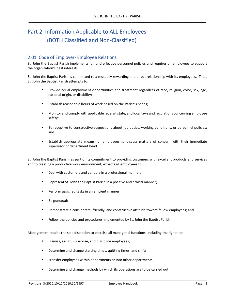## Part 2 Information Applicable to ALL Employees (BOTH Classified and Non-Classified)

#### 2.01 Code of Employer- Employee Relations

St. John the Baptist Parish implements fair and effective personnel policies and requires all employees to support the organization's best interests.

St. John the Baptist Parish is committed to a mutually rewarding and direct relationship with its employees. Thus, St. John the Baptist Parish attempts to:

- Provide equal employment opportunities and treatment regardless of race, religion, color, sex, age, national origin, or disability;
- Establish reasonable hours of work based on the Parish's needs;
- Monitor and comply with applicable federal, state, and local laws and regulations concerning employee safety;
- Be receptive to constructive suggestions about job duties, working conditions, or personnel policies; and
- Establish appropriate means for employees to discuss matters of concern with their immediate supervisor or department head.

St. John the Baptist Parish, as part of its commitment to providing customers with excellent products and services and to creating a productive work environment, expects all employees to:

- Deal with customers and vendors in a professional manner;
- Represent St. John the Baptist Parish in a positive and ethical manner;
- Perform assigned tasks in an efficient manner;
- Be punctual;
- Demonstrate a considerate, friendly, and constructive attitude toward fellow employees; and
- Follow the policies and procedures implemented by St. John the Baptist Parish

Management retains the sole discretion to exercise all managerial functions, including the rights to:

- Dismiss, assign, supervise, and discipline employees;
- Determine and change starting times, quitting times, and shifts;
- Transfer employees within departments or into other departments;
- Determine and change methods by which its operations are to be carried out;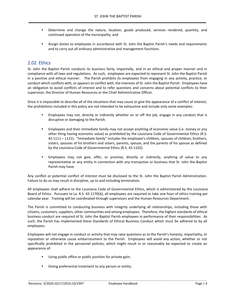- Determine and change the nature, location, goods produced, services rendered, quantity, and continued operation of the municipality; and
- Assign duties to employees in accordance with St. John the Baptist Parish's needs and requirements and to carry out all ordinary administrative and management functions.

#### 2.02 Ethics

St. John the Baptist Parish conducts its business fairly, impartially, and in an ethical and proper manner and in compliance with all laws and regulations. As such, employees are expected to represent St. John the Baptist Parish in a positive and ethical manner. The Parish prohibits its employees from engaging in any activity, practice, or conduct which conflicts with, or appears to conflict with, the interests of St. John the Baptist Parish. Employees have an obligation to avoid conflicts of interest and to refer questions and concerns about potential conflicts to their supervisor, the Director of Human Resources or the Chief Administrative Officer.

Since it is impossible to describe all of the situations that may cause or give the appearance of a conflict of interest, the prohibitions included in this policy are not intended to be exhaustive and include only some examples:

- Employees may not, directly or indirectly whether on or off the job, engage in any conduct that is disruptive or damaging to the Parish.
- Employees and their immediate family may not accept anything of economic value (i.e. money or any other thing having economic value) as prohibited by the Louisiana Code of Governmental Ethics (R.S. 42:1111 – 1121). "Immediate family" includes the employee's children, spouses of children, brothers, sisters, spouses of his brothers and sisters, parents, spouse, and the parents of his spouse as defined by the Louisiana Code of Governmental Ethics (R.S. 42:1102).
- Employees may not give, offer, or promise, directly or indirectly, anything of value to any representative or any entity in connection with any transaction or business that St. John the Baptist Parish may have.

Any conflict or potential conflict of interest must be disclosed to the St. John the Baptist Parish Administration. Failure to do so may result in discipline, up to and including termination.

All employees shall adhere to the Louisiana Code of Governmental Ethics, which is administered by the Louisiana Board of Ethics. Pursuant to La. R.S. 42:1170(A), all employees are required to take one hour of ethics training per calendar year. Training will be coordinated through supervisors and the Human Resources Department.

The Parish is committed to conducting business with integrity underlying all relationships, including those with citizens, customers, suppliers, other communities and among employees. Therefore, the highest standards of ethical business conduct are required of St. John the Baptist Parish employees in performance of their responsibilities. As such, the Parish has implemented these Standards of Ethical Business Conduct which must be adhered to by all employees.

Employees will not engage in conduct or activity that may raise questions as to the Parish's honesty, impartiality, or reputation or otherwise cause embarrassment to the Parish. Employees will avoid any action, whether or not specifically prohibited in the personnel policies, which might result in or reasonably be expected to create an appearance of:

- Using public office or public position for private gain;
- Giving preferential treatment to any person or entity;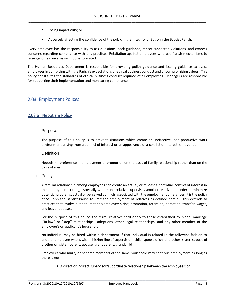- Losing impartiality; or
- Adversely affecting the confidence of the pubic in the integrity of St. John the Baptist Parish.

Every employee has the responsibility to ask questions, seek guidance, report suspected violations, and express concerns regarding compliance with this practice. Retaliation against employees who use Parish mechanisms to raise genuine concerns will not be tolerated.

The Human Resources Department is responsible for providing policy guidance and issuing guidance to assist employees in complying with the Parish's expectations of ethical business conduct and uncompromising values. This policy constitutes the standards of ethical business conduct required of all employees. Managers are responsible for supporting their implementation and monitoring compliance.

#### 2.03 Employment Polices

#### 2.03 a Nepotism Policy

i. Purpose

The purpose of this policy is to prevent situations which create an ineffective, non-productive work environment arising from a conflict of interest or an appearance of a conflict of interest, or favoritism.

ii. Definition

Nepotism - preference in employment or promotion on the basis of family relationship rather than on the basis of merit.

iii. Policy

A familial relationship among employees can create an actual, or at least a potential, conflict of interest in the employment setting, especially where one relative supervises another relative. In order to minimize potential problems, actual or perceived conflicts associated with the employment of relatives, it is the policy of St. John the Baptist Parish to limit the employment of relatives as defined herein. This extends to practices that involve but not limited to employee hiring, promotion, retention, demotion, transfer, wages, and leave requests.

For the purpose of this policy, the term "relative" shall apply to those established by blood, marriage ("in-law" or "step" relationships), adoptions, other legal relationships, and any other member of the employee's or applicant's household.

No individual may be hired within a department if that individual is related in the following fashion to another employee who is within his/her line of supervision: child, spouse of child, brother, sister, spouse of brother or sister, parent, spouse, grandparent, grandchild

Employees who marry or become members of the same household may continue employment as long as there is not:

(a) A direct or indirect supervisor/subordinate relationship between the employees; or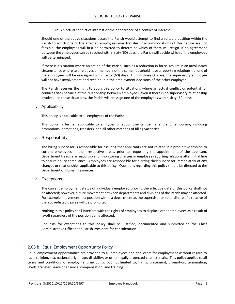(b) An actual conflict of interest or the appearance of a conflict of interest.

Should one of the above situations occur, the Parish would attempt to find a suitable position within the Parish to which one of the affected employees may transfer. If accommodations of this nature are not feasible, the employees will first be permitted to determine which of them will resign. If no agreement between the employees can be reached within sixty (60) days, the Parish will decide which of the employees will be terminated.

If there is a situation where an action of the Parish, such as a reduction in force, results in an involuntary circumstance where two relatives or members of the same household have a reporting relationship, one of the employees will be reassigned within sixty (60) days. During those 60 days, the supervisory employee will not have involvement or direct input in the employment decisions of the other employee.

The Parish reserves the right to apply this policy to situations where an actual conflict or potential for conflict arises because of the relationship between employees, even if there is no supervisory relationship involved. In these situations, the Parish will reassign one of the employees within sixty (60) days.

#### iv. Applicability

This policy is applicable to all employees of the Parish.

This policy is further applicable to all types of appointments, permanent and temporary; including promotions, demotions, transfers, and all other methods of filling vacancies.

#### v. Responsibility

The hiring supervisor is responsible for assuring that applicants are not related in a prohibitive fashion to current employees in their respective areas, prior to requesting the appointment of the applicant. Department Heads are responsible for monitoring changes in employee reporting relations after initial hire to ensure policy compliance. Employees are responsible for alerting their supervisor immediately of any changes or relationships applicable to this policy. Questions regarding this policy should be directed to the Department of Human Resources.

#### vi. Exceptions

The current employment status of individuals employed prior to the effective date of this policy shall not be affected; however, future movement between departments and divisions of the Parish may be affected. For example, movement to a position within a department as the supervisor or subordinate of a relative of the above-listed degree will be prohibited.

Nothing in this policy shall interfere with the rights of employees to displace other employees as a result of layoff regardless of the position being affected.

Requests for exceptions to this policy shall be justified, documented and submitted to the Chief Administrative Officer and Parish President for consideration.

#### 2.03 b Equal Employment Opportunity Policy

Equal employment opportunities are provided to all employees and applicants for employment without regard to race, religion, sex, national origin, age, disability, or other legally protected characteristic. This policy applies to all terms and conditions of employment, including, but not limited to, hiring, placement, promotion, termination, layoff, transfer, leave of absence, compensation, and training.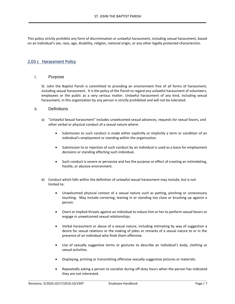This policy strictly prohibits any form of discrimination or unlawful harassment, including sexual harassment, based on an individual's sex, race, age, disability, religion, national origin, or any other legally protected characteristic.

#### 2.03 c Harassment Policy

#### i. Purpose

St. John the Baptist Parish is committed to providing an environment free of all forms of harassment, including sexual harassment. It is the policy of the Parish to regard any unlawful harassment of volunteers, employees or the public as a very serious matter. Unlawful harassment of any kind, including sexual harassment, in this organization by any person is strictly prohibited and will not be tolerated.

#### ii. Definitions

- a) "Unlawful Sexual harassment" includes unwelcomed sexual advances, requests for sexual favors, and other verbal or physical conduct of a sexual nature where:
	- Submission to such conduct is made either explicitly or implicitly a term or condition of an individual's employment or standing within the organization.
	- Submission to or rejection of such conduct by an individual is used as a basis for employment decisions or standing affecting such individual.
	- Such conduct is severe or pervasive and has the purpose or effect of creating an intimidating, hostile, or abusive environment.
- b) Conduct which falls within the definition of unlawful sexual harassment may include, but is not limited to:
	- Unwelcomed physical contact of a sexual nature such as patting, pinching or unnecessary touching. May include cornering, leaning in or standing too close or brushing up against a person.
	- Overt or implied threats against an individual to induce him or her to perform sexual favors or engage in unwelcomed sexual relationships.
	- Verbal harassment or abuse of a sexual nature, including intimating by way of suggestion a desire for sexual relations or the making of jokes or remarks of a sexual nature to or in the presence of an individual who finds them offensive.
	- Use of sexually suggestive terms or gestures to describe an individual's body, clothing or sexual activities.
	- Displaying, printing or transmitting offensive sexually suggestive pictures or materials.
	- Repeatedly asking a person to socialize during off-duty hours when the person has indicated they are not interested.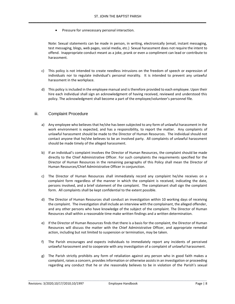Pressure for unnecessary personal interaction.

Note: Sexual statements can be made in person, in writing, electronically (email, instant messaging, test messaging, blogs, web pages, social media, etc.) Sexual harassment does not require the intent to offend. Inappropriate conduct meant as a joke, prank or even a compliment can lead or contribute to harassment.

- c) This policy is not intended to create needless intrusions on the freedom of speech or expression of individuals nor to regulate individual's personal morality. It is intended to prevent any unlawful harassment in the workplace.
- d) This policy is included in the employee manual and is therefore provided to each employee. Upon their hire each individual shall sign an acknowledgment of having received, reviewed and understood this policy. The acknowledgment shall become a part of the employee/volunteer's personnel file.

#### iii. Complaint Procedure

- a) Any employee who believes that he/she has been subjected to any form of unlawful harassment in the work environment is expected, and has a responsibility, to report the matter. Any complaints of unlawful harassment should be made to the Director of Human Resources. The individual should not contact anyone that he/she believes to be an involved party. All complaints of unlawful harassment should be made timely of the alleged harassment.
- b) If an individual's complaint involves the Director of Human Resources, the complaint should be made directly to the Chief Administrative Officer. For such complaints the requirements specified for the Director of Human Resources in the remaining paragraphs of this Policy shall mean the Director of Human Resources/Chief Administrative Officer in conjunction.
- c) The Director of Human Resources shall immediately record any complaint he/she receives on a complaint form regardless of the manner in which the complaint is received, indicating the date, persons involved, and a brief statement of the complaint. The complainant shall sign the complaint form. All complaints shall be kept confidential to the extent possible.
- d) The Director of Human Resources shall conduct an investigation within 10 working days of receiving the complaint. The investigation shall include an interview with the complainant, the alleged offender, and any other persons who have knowledge of the subject of the complaint. The Director of Human Resources shall within a reasonable time make written findings and a written determination.
- e) If the Director of Human Resources finds that there is a basis for the complaint, the Director of Human Resources will discuss the matter with the Chief Administrative Officer, and appropriate remedial action, including but not limited to suspension or termination, may be taken.
- f) The Parish encourages and expects individuals to immediately report any incidents of perceived unlawful harassment and to cooperate with any investigation of a complaint of unlawful harassment.
- g) The Parish strictly prohibits any form of retaliation against any person who in good faith makes a complaint, raises a concern, provides information or otherwise assists in an investigation or proceeding regarding any conduct that he or she reasonably believes to be in violation of the Parish's sexual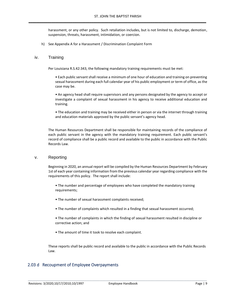harassment, or any other policy. Such retaliation includes, but is not limited to, discharge, demotion, suspension, threats, harassment, intimidation, or coercion.

h) See Appendix A for a Harassment / Discrimination Complaint Form

#### iv. Training

Per Louisiana R.S.42:343, the following mandatory training requirements must be met:

• Each public servant shall receive a minimum of one hour of education and training on preventing sexual harassment during each full calendar year of his public employment or term of office, as the case may be.

• An agency head shall require supervisors and any persons designated by the agency to accept or investigate a complaint of sexual harassment in his agency to receive additional education and training.

• The education and training may be received either in person or via the internet through training and education materials approved by the public servant's agency head.

The Human Resources Department shall be responsible for maintaining records of the compliance of each public servant in the agency with the mandatory training requirement. Each public servant's record of compliance shall be a public record and available to the public in accordance with the Public Records Law.

#### v. Reporting

Beginning in 2020, an annual report will be compiled by the Human Resources Department by February 1st of each year containing information from the previous calendar year regarding compliance with the requirements of this policy. The report shall include:

- The number and percentage of employees who have completed the mandatory training requirements;
- The number of sexual harassment complaints received;
- The number of complaints which resulted in a finding that sexual harassment occurred;
- The number of complaints in which the finding of sexual harassment resulted in discipline or corrective action; and
- The amount of time it took to resolve each complaint.

These reports shall be public record and available to the public in accordance with the Public Records Law.

#### 2.03 d Recoupment of Employee Overpayments

Revisions: 3/2020;10/17/2010;10/1997 Employee Handbook Page | 9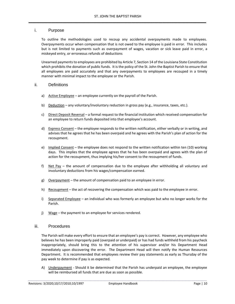#### i. Purpose

To outline the methodologies used to recoup any accidental overpayments made to employees. Overpayments occur when compensation that is not owed to the employee is paid in error. This includes but is not limited to payments such as overpayment of wages, vacation or sick leave paid in error, a miskeyed entry, or erroneous refunds of deductions

Unearned payments to employees are prohibited by Article 7, Section 14 of the Louisiana State Constitution which prohibits the donation of public funds. It is the policy of the St. John the Baptist Parish to ensure that all employees are paid accurately and that any overpayments to employees are recouped in a timely manner with minimal impact to the employee or the Parish.

#### ii. Definitions

- a) Active Employee an employee currently on the payroll of the Parish.
- b) Deduction any voluntary/involuntary reduction in gross pay (e.g., insurance, taxes, etc.).
- c) Direct Deposit Reversal a formal request to the financial institution which received compensation for an employee to return funds deposited into that employee's account.
- d) Express Consent the employee responds to the written notification, either verbally or in writing, and advises that he agrees that he has been overpaid and he agrees with the Parish's plan of action for the recoupment.
- e) Implied Consent the employee does not respond to the written notification within ten (10) working days. This implies that the employee agrees that he has been overpaid and agrees with the plan of action for the recoupment, thus implying his/her consent to the recoupment of funds.
- f) Net Pay the amount of compensation due to the employee after withholding all voluntary and involuntary deductions from his wages/compensation earned.
- g) Overpayment the amount of compensation paid to an employee in error.
- h) Recoupment the act of recovering the compensation which was paid to the employee in error.
- i) Separated Employee an individual who was formerly an employee but who no longer works for the Parish.
- j) Wage the payment to an employee for services rendered.

#### iii. Procedures

The Parish will make every effort to ensure that an employee's pay is correct. However, any employee who believes he has been improperly paid (overpaid or underpaid) or has had funds withheld from his paycheck inappropriately, should bring this to the attention of his supervisor and/or his Department Head immediately upon discovering the error. The Department Head will then notify the Human Resources Department. It is recommended that employees review their pay statements as early as Thursday of the pay week to determine if pay is as expected.

A) Underpayment - Should it be determined that the Parish has underpaid an employee, the employee will be reimbursed all funds that are due as soon as possible.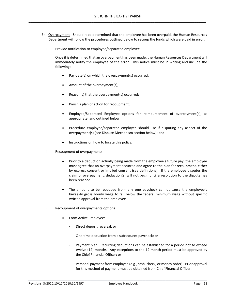- B) Overpayment Should it be determined that the employee has been overpaid, the Human Resources Department will follow the procedures outlined below to recoup the funds which were paid in error.
	- i. Provide notification to employee/separated employee

Once it is determined that an overpayment has been made, the Human Resources Department will immediately notify the employee of the error. This notice must be in writing and include the following:

- Pay date(s) on which the overpayment(s) occurred;
- Amount of the overpayment(s);
- Reason(s) that the overpayment(s) occurred;
- Parish's plan of action for recoupment;
- Employee/Separated Employee options for reimbursement of overpayment(s), as appropriate, and outlined below;
- Procedure employee/separated employee should use if disputing any aspect of the overpayment(s) (see Dispute Mechanism section below); and
- Instructions on how to locate this policy.
- ii. Recoupment of overpayments
	- Prior to a deduction actually being made from the employee's future pay, the employee must agree that an overpayment occurred and agree to the plan for recoupment, either by express consent or implied consent (see definitions). If the employee disputes the claim of overpayment, deduction(s) will not begin until a resolution to the dispute has been reached.
	- The amount to be recouped from any one paycheck cannot cause the employee's biweekly gross hourly wage to fall below the federal minimum wage without specific written approval from the employee.
- iii. Recoupment of overpayments options
	- From Active Employees
		- Direct deposit reversal; or
		- One-time deduction from a subsequent paycheck; or
		- Payment plan. Recurring deductions can be established for a period not to exceed twelve (12) months. Any exceptions to the 12-month period must be approved by the Chief Financial Officer; or
		- Personal payment from employee (e.g., cash, check, or money order). Prior approval for this method of payment must be obtained from Chief Financial Officer.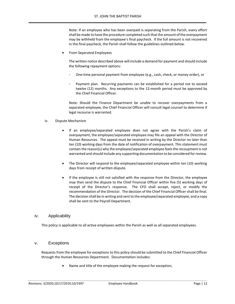Note: If an employee who has been overpaid is separating from the Parish, every effort shall be made to have the procedure completed such that the amount of the overpayment may be withheld from the employee's final paycheck. If the full amount is not recovered in the final paycheck, the Parish shall follow the guidelines outlined below.

• From Separated Employees

The written notice described above will include a demand for payment and should include the following repayment options:

- One-time personal payment from employee (e.g., cash, check, or money order), or
- Payment plan. Recurring payments can be established for a period not to exceed twelve (12) months. Any exceptions to the 12-month period must be approved by the Chief Financial Officer.

Note: Should the Finance Department be unable to recover overpayments from a separated employee, the Chief Financial Officer will consult legal counsel to determine if legal recourse is warranted.

#### iv. Dispute Mechanism

- If an employee/separated employee does not agree with the Parish's claim of overpayment, the employee/separated employee may file an appeal with the Director of Human Resources. The appeal must be received in writing by the Director no later than ten (10) working days from the date of notification of overpayment. This statement must contain the reason(s) why the employee/separated employee feels the recoupment is not warranted and should include any supporting documentation to be considered for review.
- The Director will respond to the employee/separated employee within ten (10) working days from receipt of written dispute.
- If the employee is still not satisfied with the response from the Director, the employee may then send the dispute to the Chief Financial Officer within five (5) working days of receipt of the Director's response. The CFO shall accept, reject, or modify the recommendation of the Director. The decision of the Chief Financial Officer shall be final. The decision shall be in writing and sent to the employee/separated employee, and a copy shall be sent to the Payroll Department.

#### iv. Applicability

This policy is applicable to all active employees within the Parish as well as all separated employees.

#### v. Exceptions

Requests from the employee for exceptions to this policy should be submitted to the Chief Financial Officer through the Human Resources Department. Documentation includes:

• Name and title of the employee making the request for exception;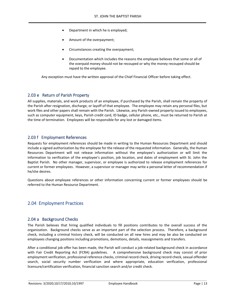- Department in which he is employed;
- Amount of the overpayment;
- Circumstances creating the overpayment;
- Documentation which includes the reasons the employee believes that some or all of the overpaid money should not be recouped or why the money recouped should be repaid to the employee.

Any exception must have the written approval of the Chief Financial Officer before taking effect.

#### 2.03 e Return of Parish Property

All supplies, materials, and work products of an employee, if purchased by the Parish, shall remain the property of the Parish after resignation, discharge, or layoff of that employee. The employee may retain any personal files, but work files and other papers shall remain with the Parish. Likewise, any Parish-owned property issued to employees, such as computer equipment, keys, Parish credit card, ID badge, cellular phone, etc., must be returned to Parish at the time of termination. Employees will be responsible for any lost or damaged items.

#### 2.03 f Employment References

Requests for employment references should be made in writing to the Human Resources Department and should include a signed authorization by the employee for the release of the requested information. Generally, the Human Resources Department will not release information without the employee's authorization or will limit the information to verification of the employee's position, job location, and dates of employment with St. John the Baptist Parish. No other manager, supervisor, or employee is authorized to release employment references for current or former employees. However, a supervisor or manager may write a personal letter of recommendation if he/she desires.

Questions about employee references or other information concerning current or former employees should be referred to the Human Resource Department.

#### 2.04 Employment Practices

#### 2.04 a Background Checks

The Parish believes that hiring qualified individuals to fill positions contributes to the overall success of the organization. Background checks serve as an important part of the selection process. Therefore, a background check, including a criminal history check, will be conducted on all new hires and may be also be conducted on employees changing positions including promotions, demotions, details, reassignments and transfers.

After a conditional job offer has been made, the Parish will conduct a job-related background check in accordance with Fair Credit Reporting Act (FCRA) guidelines. A comprehensive background check may consist of prior employment verification, professional reference checks, criminal record check, driving record check, sexual offender search, social security number verification and where appropriate, education verification, professional licensure/certification verification, financial sanction search and/or credit check.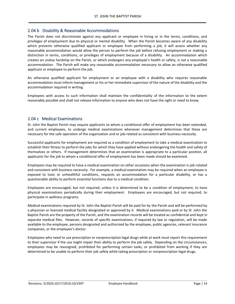#### 2.04 b Disability & Reasonable Accommodations

The Parish does not discriminate against any applicant or employee in hiring or in the terms, conditions, and privileges of employment due to physical or mental disability. When the Parish becomes aware of any disability which prevents otherwise qualified applicant or employee from performing a job, it will assess whether any reasonable accommodation would allow the person to perform the job before refusing employment or making a distinction in terms, conditions, or privileges of employment because of a disability. An accommodation which creates an undue hardship on the Parish, or which endangers any employee's health or safety, is not a reasonable accommodation. The Parish will make any reasonable accommodation necessary to allow an otherwise qualified applicant or employee to perform the job.

An otherwise qualified applicant for employment or an employee with a disability who requires reasonable accommodation must inform management or his or her immediate supervisor of the nature of the disability and the accommodation required in writing.

Employees with access to such information shall maintain the confidentiality of the information to the extent reasonably possible and shall not release information to anyone who does not have the right or need to know.

#### 2.04 c Medical Examinations

St. John the Baptist Parish may require applicants to whom a conditional offer of employment has been extended, and current employees, to undergo medical examinations whenever management determines that these are necessary for the safe operation of the organization and or job-related as consistent with business necessity.

Successful applicants for employment are required as a condition of employment to take a medical examination to establish their fitness to perform the jobs for which they have applied without endangering the health and safety of themselves or others. If management determines that an examination is appropriate to a particular position, all applicants for the job to whom a conditional offer of employment has been made should be examined.

Employees may be required to have a medical examination on other occasions when the examination is job-related and consistent with business necessity. For example, a medical examination may be required when an employee is exposed to toxic or unhealthful conditions, requests an accommodation for a particular disability, or has a questionable ability to perform essential functions due to a medical condition.

Employees are encouraged, but not required, unless it is determined to be a condition of employment, to have physical examinations periodically during their employment. Employees are encouraged, but not required, to participate in wellness programs.

Medical examinations required by St. John the Baptist Parish will be paid for by the Parish and will be performed by a physician or licensed medical facility designated or approved by it. Medical examinations paid or by St. John the Baptist Parish are the property of the Parish, and the examination records will be treated as confidential and kept in separate medical files. However, records of specific examinations, if required by law or regulation, will be made available to the employee, persons designated and authorized by the employee, public agencies, relevant insurance companies, or the employee's doctor.

Employees who need to use prescription or nonprescription legal drugs while at work must report this requirement to their supervisor if the use might impair their ability to perform the job safely. Depending on the circumstances, employees may be reassigned, prohibited for performing certain tasks, or prohibited from working if they are determined to be unable to perform their job safely while taking prescription or nonprescription legal drugs.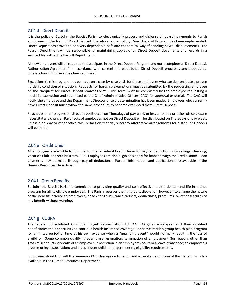#### 2.04 d Direct Deposit

It is the policy of St. John the Baptist Parish to electronically process and disburse all payroll payments to Parish employees in the form of Direct Deposit; therefore, a mandatory Direct Deposit Program has been implemented. Direct Deposit has proven to be a very dependable, safe and economical way of handling payroll disbursements. The Payroll Department will be responsible for maintaining copies of all Direct Deposit documents and records in a secured file within the Payroll Department.

All new employees will be required to participate in the Direct Deposit Program and must complete a "Direct Deposit Authorization Agreement" in accordance with current and established Direct Deposit processes and procedures, unless a hardship waiver has been approved.

Exceptions to this program may be made on a case-by-case basis for those employees who can demonstrate a proven hardship condition or situation. Requests for hardship exemptions must be submitted by the requesting employee on the "Request for Direct Deposit Waiver Form". This form must be completed by the employee requesting a hardship exemption and submitted to the Chief Administrative Officer (CAO) for approval or denial. The CAO will notify the employee and the Department Director once a determination has been made. Employees who currently have Direct Deposit must follow the same procedure to become exempted from Direct Deposit.

Paychecks of employees on direct deposit occur on Thursdays of pay week unless a holiday or other office closure necessitates a change. Paychecks of employees not on Direct Deposit will be distributed on Thursdays of pay week, unless a holiday or other office closure falls on that day whereby alternative arrangements for distributing checks will be made.

#### 2.04 e Credit Union

All employees are eligible to join the Louisiana Federal Credit Union for payroll deductions into savings, checking, Vacation Club, and/or Christmas Club. Employees are also eligible to apply for loans through the Credit Union. Loan payments may be made through payroll deductions. Further information and applications are available in the Human Resources Department.

#### 2.04 f Group Benefits

St. John the Baptist Parish is committed to providing quality and cost-effective health, dental, and life insurance program for all its eligible employees. The Parish reserves the right, at its discretion, however, to change the nature of the benefits offered to employees, or to change insurance carriers, deductibles, premiums, or other features of any benefit without warning.

#### 2.04 g COBRA

The federal Consolidated Omnibus Budget Reconciliation Act (COBRA) gives employees and their qualified beneficiaries the opportunity to continue health insurance coverage under the Parish's group health plan program for a limited period of time at his own expense when a "qualifying event" would normally result in the loss of eligibility. Some common qualifying events are resignation, termination of employment (for reasons other than gross misconduct), or death of an employee; a reduction in an employee's hours or a leave of absence; an employee's divorce or legal separation; and a dependent child no longer meeting eligibility requirements.

Employees should consult the *Summary Plan Description* for a full and accurate description of this benefit, which is available in the Human Resources Department.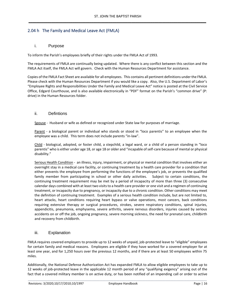#### 2.04 h The Family and Medical Leave Act (FMLA)

#### i. Purpose

To inform the Parish's employees briefly of their rights under the FMLA Act of 1993.

The requirements of FMLA are continually being updated. Where there is any conflict between this section and the FMLA Act itself, the FMLA Act will govern. Check with the Human Resources Department for assistance.

Copies of the FMLA Fact Sheet are available for all employees. This contains all pertinent definitions under the FMLA. Please check with the Human Resources Department if you would like a copy. Also, the U.S. Department of Labor's "Employee Rights and Responsibilities Under the Family and Medical Leave Act" notice is posted at the Civil Service Office, Edgard Courthouse, and is also available electronically in "PDF" format on the Parish's "common drive" (P: drive) in the Human Resources folder.

#### ii. Defintions

Spouse - Husband or wife as defined or recognized under State law for purposes of marriage.

Parent - a biological parent or individual who stands or stood in "loco parentis" to an employee when the employee was a child. This term does not include parents "in-law".

Child - biological, adopted, or foster child, a stepchild, a legal ward, or a child of a person standing in "loco parentis" who is either under age 18, or age 18 or older and "incapable of self-care because of mental or physical disability."

Serious Health Condition - an illness, injury, impairment, or physical or mental condition that involves either an overnight stay in a medical care facility, or continuing treatment by a health care provider for a condition that either prevents the employee from performing the functions of the employee's job, or prevents the qualified family member from participating in school or other daily activities. Subject to certain conditions, the continuing treatment requirement may be met by a period of incapacity of more than three (3) consecutive calendar days combined with at least two visits to a health care provider or one visit and a regimen of continuing treatment, or incapacity due to pregnancy, or incapacity due to a chronic condition. Other conditions may meet the definition of continuing treatment. Examples of a serious health condition include, but are not limited to, heart attacks, heart conditions requiring heart bypass or valve operations, most cancers, back conditions requiring extensive therapy or surgical procedures, strokes, severe respiratory conditions, spinal injuries, appendicitis, pneumonia, emphysema, severe arthritis, severe nervous disorders, injuries caused by serious accidents on or off the job, ongoing pregnancy, severe morning sickness, the need for prenatal care, childbirth and recovery from childbirth.

#### iii. Explanation

FMLA requires covered employers to provide up to 12 weeks of unpaid, job-protected leave to "eligible" employees for certain family and medical reasons. Employees are eligible if they have worked for a covered employer for at least one year, and for 1,250 hours over the previous 12 months, and if there are at least 50 employees within 75 miles.

Additionally, the National Defense Authorization Act has expanded FMLA to allow eligible employees to take up to 12 weeks of job-protected leave in the applicable 12 month period of any "qualifying exigency" arising out of the fact that a covered military member is on active duty, or has been notified of an impending call or order to active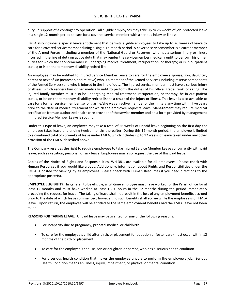duty, in support of a contingency operation. All eligible employees may take up to 26 weeks of job-protected leave in a single 12-month period to care for a covered service member with a serious injury or illness.

FMLA also includes a special leave entitlement that permits eligible employees to take up to 26 weeks of leave to care for a covered servicemember during a single 12-month period. A covered servicemember is a current member of the Armed Forces, including a member of the National Guard or Reserves, who has a serious injury or illness incurred in the line of duty on active duty that may render the servicemember medically unfit to perform his or her duties for which the servicemember is undergoing medical treatment, recuperation, or therapy; or is in outpatient status; or is on the temporary disability retired list.

An employee may be entitled to Injured Service Member Leave to care for the employee's spouse, son, daughter, parent or next of kin (nearest blood relative) who is a member of the Armed Services (including reserve components of the Armed Services) and who is injured in the line of duty. The injured service member must have a serious injury or illness, which renders him or her medically unfit to perform the duties of his office, grade, rank, or rating. The injured family member must also be undergoing medical treatment, recuperation, or therapy, be in out-patient status, or be on the temporary disability retired list as a result of the injury or illness. This leave is also available to care for a former service member, so long as he/she was an active member of the military any time within five years prior to the date of medical treatment for which the employee requests leave. Management may require medical certification from an authorized health care provider of the service member and on a form provided by management if Injured Service Member Leave is sought.

Under this type of leave, an employee may take a total of 26 weeks of unpaid leave beginning on the first day the employee takes leave and ending twelve months thereafter. During this 12-month period, the employee is limited to a combined total of 26 weeks of leave under FMLA, which includes up to 12 weeks of leave taken under any other provision of the FMLA, described above.

The Company reserves the right to require employees to take Injured Service Member Leave concurrently with paid leave, such as vacation, personal, or sick leave. Employees may also request the use of this paid leave.

Copies of the Notice of Rights and Responsibilities, WH-381, are available for all employees. Please check with Human Resources if you would like a copy. Additionally, information about Rights and Responsibilities under the FMLA is posted for viewing by all employees. Please check with Human Resources if you need directions to the appropriate poster(s).

**EMPLOYEE ELIGIBILITY:** In general, to be eligible, a full-time employee must have worked for the Parish office for at least 12 months and must have worked at least 1,250 hours in the 12 months during the period immediately preceding the request for leave. The taking of leave shall not result in the loss of any employment benefits accrued prior to the date of which leave commenced; however, no such benefits shall accrue while the employee is on FMLA leave. Upon return, the employee will be entitled to the same employment benefits had the FMLA leave not been taken.

**REASONS FOR TAKING LEAVE:** Unpaid leave may be granted for **any** of the following reasons:

- For incapacity due to pregnancy, prenatal medical or childbirth.
- To care for the employee's child after birth, or placement for adoption or foster care (must occur within 12 months of the birth or placement).
- To care for the employee's spouse, son or daughter, or parent, who has a serious health condition.
- For a serious health condition that makes the employee unable to perform the employee's job. Serious Health Condition means an illness, injury, impairment, or physical or mental condition.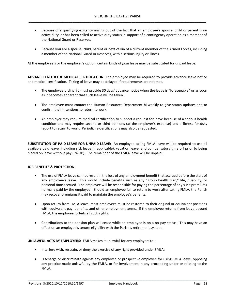- Because of a qualifying exigency arising out of the fact that an employee's spouse, child or parent is on active duty, or has been called to active duty status in support of a contingency operation as a member of the National Guard or Reserves.
- Because you are a spouse, child, parent or next of kin of a current member of the Armed Forces, including a member of the National Guard or Reserves, with a serious injury or illness.

At the employee's or the employer's option, certain kinds of *paid* leave may be substituted for unpaid leave.

**ADVANCED NOTICE & MEDICAL CERTIFICATION:** The employee may be required to provide advance leave notice and medical certification. Taking of leave may be delayed if requirements are not met.

- The employee ordinarily must provide 30 days' advance notice when the leave is "foreseeable" or as soon as it becomes apparent that such leave will be taken.
- The employee must contact the Human Resources Department bi-weekly to give status updates and to confirm their intentions to return to work.
- An employer may require medical certification to support a request for leave because of a serious health condition and may require second or third opinions (at the employer's expense) and a fitness-for-duty report to return to work. Periodic re-certifications may also be requested.

**SUBSTITUTION OF PAID LEAVE FOR UNPAID LEAVE:** An employee taking FMLA leave will be required to use all available paid leave, including sick leave (if applicable), vacation leave, and compensatory time off prior to being placed on leave without pay (LWOP). The remainder of the FMLA leave will be unpaid.

#### **JOB BENEFITS & PROTECTION:**

- The use of FMLA leave cannot result in the loss of any employment benefit that accrued before the start of any employee's leave. This would include benefits such as any "group health plan," life, disability, or personal time accrued. The employee will be responsible for paying the percentage of any such premiums normally paid by the employee. Should an employee fail to return to work after taking FMLA, the Parish may recover premiums it paid to maintain the employee's benefits.
- Upon return from FMLA leave, most employees must be restored to their original or equivalent positions with equivalent pay, benefits, and other employment terms. If the employee returns from leave beyond FMLA, the employee forfeits all such rights.
- Contributions to the pension plan will cease while an employee is on a no-pay status. This may have an effect on an employee's tenure eligibility with the Parish's retirement system.

**UNLAWFUL ACTS BY EMPLOYERS:** FMLA makes it unlawful for any employers to:

- Interfere with, restrain, or deny the exercise of any right provided under FMLA;
- Discharge or discriminate against any employee or prospective employee for using FMLA leave, opposing any practice made unlawful by the FMLA, or for involvement in any proceeding under or relating to the FMLA.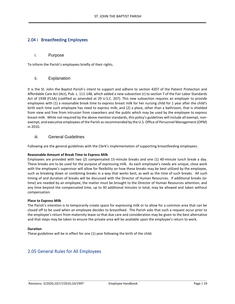#### 2.04 i Breastfeeding Employees

#### i. Purpose

To inform the Parish's employees briefly of their rights.

#### ii. Explanation

It is the St. John the Baptist Parish's intent to support and adhere to section 4207 of the Patient Protection and Affordable Care Act (Act), Pub. L. 111-148, which added a new subsection (r) to section 7 of the Fair Labor Standards Act of 1938 (FLSA) (codified as amended at 29 U.S.C. 207). This new subsection requires an employer to provide employees with (1) a reasonable break time to express breast milk for her nursing child for 1 year after the child's birth each time such employee has need to express milk; and (2) a place, other than a bathroom, that is shielded from view and free from intrusion from coworkers and the public which may be used by the employee to express breast milk. While not required by the above mention standards, this policy's guidelines will include all exempt, nonexempt, and executive employees of the Parish as recommended by the U.S. Office of Personnel Management (OPM) in 2010.

#### iii. General Guidelines

Following are the general guidelines with the Clerk's implementation of supporting breastfeeding employees.

#### **Reasonable Amount of Break Time to Express Milk**

Employees are provided with two (2) compensated 15-minute breaks and one (1) 40-minute lunch break a day. These breaks are to be used for the purpose of expressing milk. As each employee's needs are unique, close work with the employee's supervisor will allow for flexibility on how these breaks may be best utilized by the employee, such as breaking down or combining breaks in a way that works best, as well as the time of such breaks. All such timing of and duration of breaks will be discussed with the Director of Human Resources. If additional breaks (or time) are needed by an employee, the matter must be brought to the Director of Human Resources attention, and any time beyond the compensated time, up to 30 additional minutes in total, may be allowed and taken without compensation.

#### **Place to Express Milk**

The Parish's intention is to temporarily create space for expressing milk or to allow for a common area that can be closed off to be used when an employee decides to breastfeed. The Parish asks that such a request occur prior to the employee's return from maternity leave so that due care and consideration may be given to the best alternative and that steps may be taken to ensure the private area will be available upon the employee's return to work.

#### **Duration**

These guidelines will be in effect for one (1) year following the birth of the child.

#### 2.05 General Rules for All Employees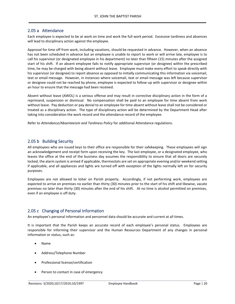#### 2.05 a Attendance

Each employee is expected to be at work on time and work the full work period. Excessive tardiness and absences will lead to disciplinary action against the employee.

Approval for time off from work, including vacations, should be requested in advance. However, when an absence has not been scheduled in advance but an employee is unable to report to work or will arrive late, employee is to call his supervisor (or designated employee in his department) no later than fifteen (15) minutes after the assigned start of his shift. If an absent employee fails to notify appropriate supervisor (or designee) within the prescribed time, he may be charged with being absent without leave. Employee must make every effort to speak directly with his supervisor (or designee) to report absence as opposed to initially communicating this information via voicemail, text or email message. However, in instances where voicemail, text or email message was left because supervisor or designee could not be reached by phone, employee is expected to follow-up with supervisor or designee within an hour to ensure that the message had been received.

Absent without leave (AWOL) is a serious offense and may result in corrective disciplinary action in the form of a reprimand, suspension or dismissal. No compensation shall be paid to an employee for time absent from work without leave. Pay deduction or pay denial to an employee for time absent without leave shall not be considered or treated as a disciplinary action. The type of disciplinary action will be determined by the Department Head after taking into consideration the work record and the attendance record of the employee.

Refer to *Attendance/Absenteeism and Tardiness Policy* for additional Attendance regulations.

#### 2.05 b Building Security

All employees who are issued keys to their office are responsible for their safekeeping. These employees will sign an acknowledgement and receipt form upon receiving the key. The last employee, or a designated employee, who leaves the office at the end of the business day assumes the responsibility to ensure that all doors are securely locked, the alarm system is armed if applicable, thermostats are set on appropriate evening and/or weekend setting if applicable, and all appliances and lights are turned off with exception of the lights normally left on for security purposes.

Employees are not allowed to loiter on Parish property. Accordingly, if not performing work, employees are expected to arrive on premises no earlier than thirty (30) minutes prior to the start of his shift and likewise, vacate premises no later than thirty (30) minutes after the end of his shift. At no time is alcohol permitted on premises, even if an employee is off duty.

#### 2.05 c Changing of Personal Information

An employee's personal information and personnel data should be accurate and current at all times.

It is important that the Parish keeps an accurate record of each employee's personal status. Employees are responsible for informing their supervisor and the Human Resources Department of any changes in personal information or status, such as:

- Name
- Address/Telephone Number
- Professional license/certification
- Person to contact in case of emergency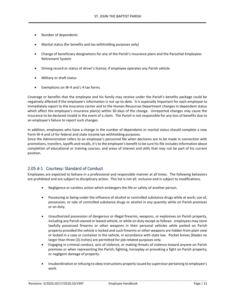- Number of dependents
- Marital status (for benefits and tax withholding purposes only)
- Change of beneficiary designations for any of the Parish's insurance plans and the Parochial Employees Retirement System
- Driving record or status of driver's license, if employee operates any Parish vehicle
- Military or draft status
- Exemptions on W-4 and L-4 tax forms

Coverage or benefits that the employee and his family may receive under the Parish's benefits package could be negatively affected if the employee's information is not up-to-date. It is especially important for each employee to immediately report to the insurance carrier and to the Human Resources Department changes in dependent status which affect the employee's insurance plan(s) within 30 days of the change. Unreported changes may cause the insurance to be declared invalid in the event of a claim. The Parish is not responsible for any loss of benefits due to an employee's failure to report such changes.

In addition, employees who have a change in the number of dependents or marital status should complete a new Form W-4 and L4 for federal and state income tax withholding purposes.

Since the Administration refers to an employee's personnel file when decisions are to be made in connection with promotions, transfers, layoffs and recalls, it's to the employee's benefit to be sure his file includes information about completion of educational or training courses, and areas of interest and skills that may not be part of his current position.

#### 2.05 d-1 Courtesy: Standard of Conduct

Employees are expected to behave in a professional and responsible manner at all times. The following behaviors are prohibited and are subject to disciplinary action. This list is not all- inclusive and is subject to modifications.

- Negligence or careless action which endangers the life or safety of another person.
- Possessing or being under the influence of alcohol or controlled substance drugs while at work; use of, possession, or sale of controlled substance drugs or alcohol in any quantity while on Parish premises or on duty.
- Unauthorized possession of dangerous or illegal firearms, weapons, or explosives on Parish property, including any Parish-owned or leased vehicle, or while on duty except as follows: employees may store lawfully possessed firearms or other weapons in their personal vehicles while parked on Parish property provided the vehicle is locked and such firearms or other weapons are hidden from plain view or locked in a case or container in the vehicle, in accordance with state law. Pocket knives (blades no larger than three (3) inches) are permitted for job-related purposes only.
- Engaging in criminal conduct, acts of violence, or making threats of violence toward anyone on Parish premises or when representing the Parish; fighting, horseplay or provoking a fight on Parish property; or negligent damage of property.
- Insubordination or refusing to obey instructions properly issued by supervisor pertaining to employee's work.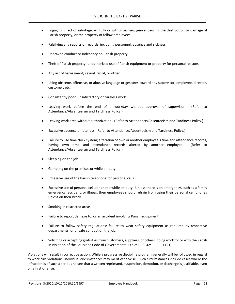- Engaging in act of sabotage; willfully or with gross negligence, causing the destruction or damage of Parish property, or the property of fellow employees.
- Falsifying any reports or records, including personnel, absence and sickness.
- Depraved conduct or indecency on Parish property.
- Theft of Parish property; unauthorized use of Parish equipment or property for personal reasons.
- Any act of harassment; sexual, racial, or other.
- Using obscene, offensive, or abusive language or gestures toward any supervisor, employee, director, customer, etc.
- Consistently poor, unsatisfactory or careless work.
- Leaving work before the end of a workday without approval of supervisor. (Refer to Attendance/Absenteeism and Tardiness Policy.)
- Leaving work area without authorization. (Refer to Attendance/Absenteeism and Tardiness Policy.)
- Excessive absence or lateness. (Refer to Attendance/Absenteeism and Tardiness Policy.)
- Failure to use time clock system; alteration of own or another employee's time and attendance records, having own time and attendance records altered by another employee. (Refer to Attendance/Absenteeism and Tardiness Policy.)
- Sleeping on the job.
- Gambling on the premises or while on duty.
- Excessive use of the Parish telephone for personal calls.
- Excessive use of personal cellular phone while on duty. Unless there is an emergency, such as a family emergency, accident, or illness, then employees should refrain from using their personal cell phones unless on their break.
- Smoking in restricted areas.
- Failure to report damage to, or an accident involving Parish equipment.
- Failure to follow safety regulations; failure to wear safety equipment as required by respective departments; or unsafe conduct on the job.
- Soliciting or accepting gratuities from customers, suppliers, or others, doing work for or with the Parish in violation of the Louisiana Code of Governmental Ethics (R.S. 42:1111 – 1121).

Violations will result in corrective action. While a progressive discipline program generally will be followed in regard to work rule violations, individual circumstances may merit otherwise. Such circumstances include cases where the infraction is of such a serious nature that a written reprimand, suspension, demotion, or discharge is justifiable, even on a first offense.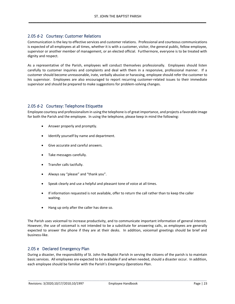#### 2.05 d-2 Courtesy: Customer Relations

Communication is the key to effective services and customer relations. Professional and courteous communications is expected of all employees at all times, whether it is with a customer, visitor, the general public, fellow employee, supervisor or another member of management, or an elected official. Furthermore, everyone is to be treated with dignity and respect.

As a representative of the Parish, employees will conduct themselves professionally. Employees should listen carefully to customer inquiries and complaints and deal with them in a responsive, professional manner. If a customer should become unreasonable, irate, verbally abusive or harassing, employee should refer the customer to his supervisor. Employees are also encouraged to report recurring customer-related issues to their immediate supervisor and should be prepared to make suggestions for problem-solving changes.

#### 2.05 d-2 Courtesy: Telephone Etiquette

Employee courtesy and professionalism in using the telephone is of great importance, and projects a favorable image for both the Parish and the employee. In using the telephone, please keep in mind the following:

- Answer properly and promptly.
- Identify yourself by name and department.
- Give accurate and careful answers.
- Take messages carefully.
- Transfer calls tactfully.
- Always say "please" and "thank you".
- Speak clearly and use a helpful and pleasant tone of voice at all times.
- If information requested is not available, offer to return the call rather than to keep the caller waiting.
- Hang up only after the caller has done so.

The Parish uses voicemail to increase productivity, and to communicate important information of general interest. However, the use of voicemail is not intended to be a substitute for answering calls, as employees are generally expected to answer the phone if they are at their desks. In addition, voicemail greetings should be brief and business-like.

#### 2.05 e Declared Emergency Plan

During a disaster, the responsibility of St. John the Baptist Parish in serving the citizens of the parish is to maintain basic services. All employees are expected to be available if and when needed, should a disaster occur. In addition, each employee should be familiar with the Parish's *Emergency Operations Plan*.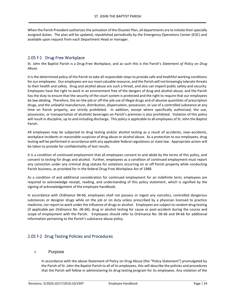When the Parish President authorizes the activation of the Disaster Plan, all departments are to initiate their specially assigned duties. The plan will be updated, republished periodically by the Emergency Operations Center (EOC) and available upon request from each Department Head or manager.

#### 2.05 f-1 Drug-Free Workplace

St. John the Baptist Parish is a Drug-Free Workplace, and as such this is the Parish's *Statement of Policy on Drug Abuse*.

It is the determined policy of the Parish to take all responsible steps to provide safe and healthful working conditions for our employees. Our employees are our most valuable resource, and the Parish will not knowingly tolerate threats to their health and safety. Drug and alcohol abuse are such a threat, and also can imperil public safety and security. Employees have the right to work in an environment free of the dangers of drug and alcohol abuse, and the Parish has the duty to ensure that the security of the court system is protected and the right to require that our employees be law-abiding. Therefore, the on-the-job or off-the-job use of illegal drugs and of abusive quantities of prescription drugs, and the unlawful manufacture, distribution, dispensation, possession, or use of a controlled substance at any time on Parish property, are strictly prohibited. In addition, except where specifically authorized, the use, possession, or transportation of alcoholic beverages on Parish's premises is also prohibited. Violation of this policy will result in discipline, up to and including discharge. This policy is applicable to all employees of St. John the Baptist Parish.

All employees may be subjected to drug testing and/or alcohol testing as a result of accidents, near-accidents, workplace incidents or reasonable suspicion of drug abuse or alcohol abuse. As a protection to our employees, drug testing will be performed in accordance with any applicable federal regulations or state law. Appropriate action will be taken to provide for confidentiality of test results.

It is a condition of continued employment that all employees consent to and abide by the terms of this policy, and consent to testing for drugs and alcohol. Further, employees as a condition of continued employment must report any conviction under any criminal drug statute for violations occurring on or off Parish property while conducting Parish business, as provided for in the federal Drug-Free Workplace Act of 1988.

As a condition of and additional consideration for continued employment for an indefinite term, employees are required to acknowledge receipt, reading, and understanding of this policy statement, which is signified by the signing of acknowledgement of the employee handbook.

In accordance with *Ordinance 94-66*, employees shall not possess or ingest any narcotics, controlled dangerous substances or designer drugs while on the job or on duty unless prescribed by a physician licensed to practice medicine, nor report to work under the influence of drugs or alcohol. Employees are subject to random drug testing (if applicable per *Ordinance No. 06-66*), drug or alcohol testing for cause or post-accident during the course and scope of employment with the Parish. Employees should refer to Ordinance No. 06-66 and 94-66 for additional information pertaining to the Parish's substance abuse policy.

#### 2.05 f-2 Drug Testing Policies and Procedures

#### i. Purpose

In accordance with the above Statement of Policy on Drug Abuse (the "Policy Statement") promulgated by the Parish of St. John the Baptist Parish to all of its employees, this will describe the policies and procedures that the Parish will follow in administering its drug testing program for its employees. Any violation of the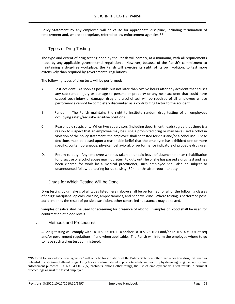Policy Statement by any employee will be cause for appropriate discipline, including termination of employment and, where appropriate, referral to law enforcement agencies.\*\*

#### ii. Types of Drug Testing

The type and extent of drug testing done by the Parish will comply, at a minimum, with all requirements made by any applicable governmental regulations. However, because of the Parish's commitment to maintaining a drug-free workplace, the Parish will exercise its right, of its own volition, to test more extensively than required by governmental regulations.

The following types of drug tests will be performed:

- A. Post-accident. As soon as possible but not later than twelve hours after any accident that causes any substantial injury or damage to persons or property or any near accident that could have caused such injury or damage, drug and alcohol test will be required of all employees whose performance cannot be completely discounted as a contributing factor to the accident.
- B. Random. The Parish maintains the right to institute random drug testing of all employees occupying safety/security-sensitive positions.
- C. Reasonable suspicions. When two supervisors (including department heads) agree that there is a reason to suspect that an employee may be using a prohibited drug or may have used alcohol in violation of the policy statement, the employee shall be tested for drug and/or alcohol use. These decisions must be based upon a reasonable belief that the employee has exhibited one or more specific, contemporaneous, physical, behavioral, or performance indicators of probable drug use.
- D. Return-to-duty. Any employee who has taken an unpaid leave of absence to enter rehabilitation for drug use or alcohol abuse may not return to duty until he or she has passed a drug test and has been cleared for work by a medical practitioner; such employee shall also be subject to unannounced follow-up testing for up to sixty (60) months after return to duty.

#### iii. Drugs for Which Testing Will be Done

Drug testing by urinalysis of all types listed hereinabove shall be performed for all of the following classes of drugs: marijuana, opioids, cocaine, amphetamines, and phencyclidine. Where testing is performed postaccident or as the result of possible suspicion, other controlled substances may be tested.

Samples of saliva shall be used for screening for presence of alcohol. Samples of blood shall be used for confirmation of blood levels.

#### iv. Methods and Procedures

All drug testing will comply with La. R.S. 23:1601.10 and/or La. R.S. 23:1081 and/or La. R.S. 49:1001 et seq and/or government regulations, if and when applicable. The Parish will inform the employee where to go to have such a drug test administered.

<sup>\*&</sup>quot;Referral to law enforcement agencies" will only be for violations of the Policy Statement other than a positive drug test, such as unlawful distribution of illegal drugs. Drug tests are administered to promote safety and security by deterring drug use, not for law enforcement purposes. La. R.S. 49:1012(A) prohibits, among other things, the use of employment drug test results in criminal proceedings against the tested employee.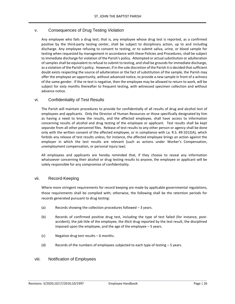#### v. Consequences of Drug Testing Violation

Any employee who fails a drug test; that is, any employee whose drug test is reported, as a confirmed positive by the third-party testing center, shall be subject to disciplinary action, up to and including discharge. Any employee refusing to consent to testing, or to submit saliva, urine, or blood sample for testing when requested by management in accordance with these Policies and Procedures, shall be subject to immediate discharge for violation of the Parish's policy. Attempted or actual substitution or adulteration of samples shall be equivalent to refusal to submit to testing, and shall be grounds for immediate discharge, as a violation of the Parish's policy. However, if in the sole discretion of the Parish it is decided that sufficient doubt exists respecting the source of adulteration or the fact of substitution of the sample, the Parish may offer the employee an opportunity, without advanced notice, to provide a new sample in front of a witness of the same gender. If the re-test is negative, then the employee may be allowed to return to work, will be subject for sixty months thereafter to frequent testing, with witnessed specimen collection and without advance notice.

#### vi. Confidentiality of Test Results

The Parish will maintain procedures to provide for confidentially of all results of drug and alcohol test of employees and applicants. Only the Director of Human Resources or those specifically designated by him as having a need to know the results, and the affected employee, shall have access to information concerning results of alcohol and drug testing of the employee or applicant. Test results shall be kept separate from all other personnel files. Release of test results to any other person or agency shall be done only with the written consent of the affected employee, or in compliance with La. R.S. 49:1012(A), which forbids any release of test results unless, for instance, the affected employee brings an action against the employer in which the test results are relevant (such as actions under Worker's Compensation, unemployment compensation, or personal injury law).

All employees and applicants are hereby reminded that, if they choose to reveal any information whatsoever concerning their alcohol or drug testing results to anyone, the employee or applicant will be solely responsible for any compromise of confidentiality.

#### vii. Record-Keeping

Where more stringent requirements for record keeping are made by applicable governmental regulations, those requirements shall be complied with; otherwise, the following shall be the retention periods for records generated pursuant to drug testing:

- (a) Records showing the collection procedures followed 3 years.
- (b) Records of confirmed positive drug test, including the type of test failed (for instance, postaccident), the job title of the employee, the illicit drug reported by the test result, the disciplined imposed upon the employee, and the age of the employee – 5 years.
- (c) Negative drug test results 6 months.
- (d) Records of the numbers of employees subjected to each type of testing 5 years.

#### viii. Notification of Employees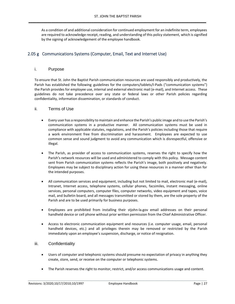As a condition of and additional consideration for continued employment for an indefinite term, employees are required to acknowledge receipt, reading, and understanding of this policy statement, which is signified by the signing of acknowledgement of the employee handbook.

#### 2.05 g Communications Systems (Computer, Email, Text and Internet Use)

#### i. Purpose

To ensure that St. John the Baptist Parish communication resources are used responsibly and productively, the Parish has established the following guidelines for the computers/tablets/I-Pads ("communication systems") the Parish provides for employee use, internal and external electronic mail (e-mail), and Internet access. These guidelines do not take precedence over any state or federal laws or other Parish policies regarding confidentiality, information dissemination, or standards of conduct.

#### ii. Terms of Use

- Every user has a responsibility to maintain and enhance the Parish's public image and to use the Parish's communication systems in a productive manner. All communication systems must be used in compliance with applicable statutes, regulations, and the Parish's policies including those that require a work environment free from discrimination and harassment. Employees are expected to use common sense and sound judgment to avoid any communication which is disrespectful, offensive or illegal.
- The Parish, as provider of access to communication systems, reserves the right to specify how the Parish's network resources will be used and administered to comply with this policy. Message content sent from Parish communication systems reflects the Parish's image, both positively and negatively. Employees may be subject to disciplinary action for using these resources in a manner other than for the intended purposes.
- All communication services and equipment, including but not limited to mail, electronic mail (e-mail), Intranet, Internet access, telephone systems, cellular phones, facsimiles, instant messaging, online services, personal computers, computer files, computer networks, video equipment and tapes, voice mail, and bulletin board, and all messages transmitted or stored by them, are the sole property of the Parish and are to be used primarily for business purposes.
- Employees are prohibited from installing their stjohn-la.gov email addresses on their personal handheld device or cell phone without prior written permission from the Chief Administrative Officer.
- Access to electronic communication equipment and resources (i.e. computer usage, email, personal handheld devices, etc.) and all privileges therein may be removed or restricted by the Parish immediately upon an employee's suspension, discharge, or notice of resignation.

#### iii. Confidentiality

- Users of computer and telephonic systems should presume no expectation of privacy in anything they create, store, send, or receive on the computer or telephonic systems.
- The Parish reserves the right to monitor, restrict, and/or access communications usage and content.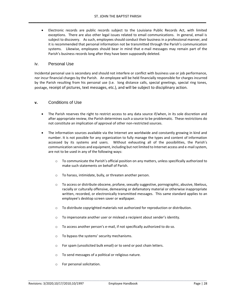• Electronic records are public records subject to the Louisiana Public Records Act, with limited exceptions. There are also other legal issues related to email communications. In general, email is subject to discovery. As such, employees should conduct their business in a professional manner, and it is recommended that personal information not be transmitted through the Parish's communication systems. Likewise, employees should bear in mind that e-mail messages may remain part of the Parish's business records long after they have been supposedly deleted.

#### iv. Personal Use

Incidental personal use is secondary and should not interfere or conflict with business use or job performance, nor incur financial charges by the Parish. An employee will be held financially responsible for charges incurred by the Parish resulting from his personal use (i.e. long distance calls, special greetings, special ring tones, postage, receipt of pictures, text messages, etc.), and will be subject to disciplinary action.

#### **v.** Conditions of Use

- The Parish reserves the right to restrict access to any data source if/when, in its sole discretion and after appropriate review, the Parish determines such a source to be problematic. These restrictions do not constitute an implication of approval of other non-restricted sources.
- The information sources available via the Internet are worldwide and constantly growing in kind and number. It is not possible for any organization to fully manage the types and content of information accessed by its systems and users. Without exhausting all of the possibilities, the Parish's communication services and equipment, including but not limited to Internet access and e-mail system, are not to be used in any of the following ways:
	- $\circ$  To communicate the Parish's official position on any matters, unless specifically authorized to make such statements on behalf of Parish.
	- o To harass, intimidate, bully, or threaten another person.
	- o To access or distribute obscene, profane, sexually suggestive, pornographic, abusive, libelous, racially or culturally offensive, demeaning or defamatory material or otherwise inappropriate written, recorded, or electronically transmitted messages. This same standard applies to an employee's desktop screen saver or wallpaper.
	- $\circ$  To distribute copyrighted materials not authorized for reproduction or distribution.
	- o To impersonate another user or mislead a recipient about sender's identity.
	- $\circ$  To access another person's e-mail, if not specifically authorized to do so.
	- o To bypass the systems' security mechanisms.
	- o For spam (unsolicited bulk email) or to send or post chain letters.
	- o To send messages of a political or religious nature.
	- o For personal solicitation.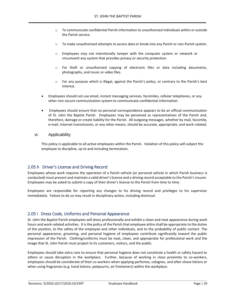- $\circ$  To communicate confidential Parish information to unauthorized individuals within or outside the Parish service.
- o To make unauthorized attempts to access data or break into any Parish or non-Parish system.
- $\circ$  Employees may not intentionally tamper with the computer system or network or circumvent any system that provides privacy or security protection.
- o For theft or unauthorized copying of electronic files or data including documents, photographs, and music or video files.
- o For any purpose which is illegal, against the Parish's policy, or contrary to the Parish's best interest.
- Employees should not use email, instant messaging services, facsimiles, cellular telephones, or any other non-secure communication system to communicate confidential information.
- Employees should ensure that no personal correspondence appears to be an official communication of St. John the Baptist Parish. Employees may be perceived as representatives of the Parish and, therefore, damage or create liability for the Parish. All outgoing messages, whether by mail, facsimile, e-mail, Internet transmission, or any other means, should be accurate, appropriate, and work-related.

#### vi. Applicability

This policy is applicable to all active employees within the Parish. Violation of this policy will subject the employee to discipline, up to and including termination.

#### 2.05 h Driver's License and Driving Record

Employees whose work requires the operation of a Parish vehicle (or personal vehicle in which Parish business is conducted) must present and maintain a valid driver's license and a driving record acceptable to the Parish's insurer. Employees may be asked to submit a copy of their driver's license to the Parish from time to time.

Employees are responsible for reporting any changes to his driving record and privileges to his supervisor immediately. Failure to do so may result in disciplinary action, including dismissal.

#### 2.05 i Dress Code, Uniforms and Personal Appearance

St. John the Baptist Parish employees will dress professionally and exhibit a clean and neat appearance during work hours and work-related activities. It is the policy of the Parish that employee attire shall be appropriate to the duties of the position, to the safety of the employee and other individuals, and to the probability of public contact. The personal appearance, grooming, and personal hygiene of employees contribute significantly toward the public impression of the Parish. Clothing/uniforms must be neat, clean, and appropriate for professional work and the image that St. John Parish must project to its customers, visitors, and the public.

Employees should take extra care to ensure that personal hygiene does not constitute a health or safety hazard to others or cause disruption in the workplace. Further, because of working in close proximity to co-workers, employees should be considerate of their co-workers when applying perfumes, colognes, and after-shave lotions or when using fragrances (e.g. hand lotions, potpourris, air fresheners) within the workplace.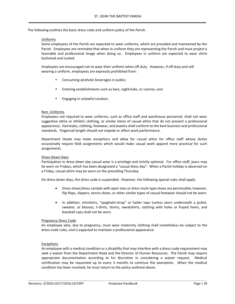The following outlines the basic dress code and uniform policy of the Parish.

#### Uniforms

Some employees of the Parish are expected to wear uniforms, which are provided and maintained by the Parish. Employees are reminded that when in uniform they are representing the Parish and must project a favorable and professional image when doing so. Employees in uniform are expected to wear shirts buttoned and tucked.

Employees are encouraged not to wear their uniform when off duty. However, if off duty and still wearing a uniform, employees are expressly prohibited from:

- Consuming alcoholic beverages in public;
- Entering establishments such as bars, nightclubs, or casinos; and
- Engaging in unlawful conduct.

#### Non- Uniforms

Employees not required to wear uniforms, such as office staff and warehouse personnel, shall not wear suggestive attire or athletic clothing, or similar items of casual attire that do not present a professional appearance. Hairstyles, clothing, footwear, and jewelry shall conform to the best business and professional standards. Fingernail length should not impede or affect work performance.

Department Heads may make exceptions and allow for casual attire for office staff whose duties occasionally require field assignments which would make casual work apparel more practical for such assignments.

#### Dress-Down Days

Participation in dress down day casual wear is a privilege and strictly optional. For office staff, jeans may be worn on Fridays, which has been designated a "casual dress day". When a Parish holiday is observed on a Friday, casual attire may be worn on the preceding Thursday.

On dress-down days, the dress code is suspended. However, the following special rules shall apply:

- Dress shoes/dress sandals with open toes or dress mule-type shoes are permissible; however, flip flops, slippers, tennis shoes, or other similar types of casual footwear should not be worn.
- In addition, miniskirts, "spaghetti-strap" or halter tops (unless worn underneath a jacket, sweater, or blouse), t-shirts, shorts, sweatshirts, clothing with holes or frayed hems, and baseball caps shall not be worn.

#### Pregnancy Dress Code

An employee who, due to pregnancy, must wear maternity clothing shall nonetheless be subject to the dress-code rules, and is expected to maintain a professional appearance.

#### Exceptions

An employee with a medical condition or a disability that may interfere with a dress-code requirement may seek a waiver from the Department Head and the Director of Human Resources. The Parish may require appropriate documentation according to his discretion in considering a waiver request. Medical certification may be requested up to every 3 months to continue the exemption. When the medical condition has been resolved, he must return to the policy outlined above.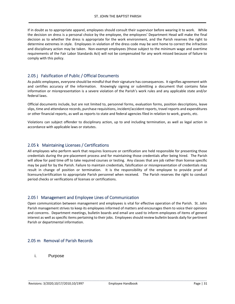If in doubt as to appropriate apparel, employees should consult their supervisor before wearing it to work. While the decision on dress is a personal choice by the employee, the employees' Department Head will make the final decision as to whether the dress is appropriate for the work environment, and the Parish reserves the right to determine extremes in style. Employees in violation of the dress code may be sent home to correct the infraction and disciplinary action may be taken. Non-exempt employees (those subject to the minimum wage and overtime requirements of the Fair Labor Standards Act) will not be compensated for any work missed because of failure to comply with this policy.

#### 2.05 j Falsification of Public / Official Documents

As public employees, everyone should be mindful that their signature has consequences. It signifies agreement with and certifies accuracy of the information. Knowingly signing or submitting a document that contains false information or misrepresentation is a severe violation of the Parish's work rules and any applicable state and/or federal laws.

Official documents include, but are not limited to, personnel forms, evaluation forms, position descriptions, leave slips, time and attendance records, purchase requisitions, incident/accident reports, travel reports and expenditures or other financial reports, as well as reports to state and federal agencies filed in relation to work, grants, etc.

Violations can subject offender to disciplinary action, up to and including termination, as well as legal action in accordance with applicable laws or statutes.

#### 2.05 k Maintaining Licenses / Certifications

All employees who perform work that requires licensure or certification are held responsible for presenting those credentials during the pre-placement process and for maintaining those credentials after being hired. The Parish will allow for paid time off to take required courses or testing. Any classes that are job rather than license specific may be paid for by the Parish. Failure to maintain credentials, falsification or misrepresentation of credentials may result in change of position or termination. It is the responsibility of the employee to provide proof of licensure/certification to appropriate Parish personnel when received. The Parish reserves the right to conduct period checks or verifications of licenses or certifications.

#### 2.05 l Management and Employee Lines of Communication

Open communication between management and employees is vital for effective operation of the Parish. St. John Parish management strives to keep its employees informed of matters and encourages them to voice their opinions and concerns. Department meetings, bulletin boards and email are used to inform employees of items of general interest as well as specific items pertaining to their jobs. Employees should review bulletin boards daily for pertinent Parish or departmental information.

#### 2.05 m Removal of Parish Records

i. Purpose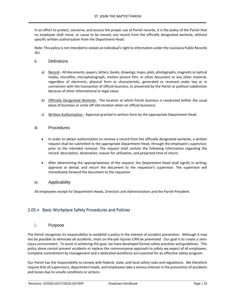In an effort to protect, conserve, and ensure the proper use of Parish records, it is the policy of the Parish that no employee shall move, or cause to be moved, any record from the officially designated worksite, without specific written authorization from the Department Head.

Note: This policy is not intended to violate an individual's right to information under the Louisiana Public Records Act.

- ii. Definitions
	- a) Record All documents, papers, letters, books, drawings, maps, plats, photographs, magnetic or optical media, microfilm, microphotograph, motion picture film, or other document or any other material, regardless of electronic, physical form or characteristic, generated or received under law or in connection with the transaction of official business, or preserved by the Parish or political subdivision because of other informational or legal value.
	- b) Officially Designated Worksite The location at which Parish business is conducted (either the usual place of business or some off-site location when on official business).
	- c) Written Authorization Approval granted in written form by the appropriate Department Head.

#### iii. Procedures

- In order to obtain authorization to remove a record from the officially designated worksite, a written request shall be submitted to the appropriate Department Head, through the employee's supervisor, prior to the intended removal. The request shall contain the following information regarding the record: description, destination, reason for utilization, and projected time of return.
- After determining the appropriateness of the request, the Department Head shall signify in writing, approval or denial; and return the document to the requestor's supervisor. The supervisor will immediately forward the document to the requestor.

#### iv. Applicability

All employees except for Department Heads, Directors and Administrators and the Parish President.

#### 2.05 n Basic Workplace Safety Procedures and Policies

#### i. Purpose

The Parish recognizes its responsibility to establish a policy in the interest of accident prevention. Although it may not be possible to eliminate all accidents, most on-the-job injuries CAN be prevented. Our goal is to create a zeroinjury environment. To assist in achieving this goal, we have developed formal safety practices and guidelines. This policy alone cannot prevent accidents or replace the commonsense approach to safety we expect of all employees. Complete commitment by management and a dedicated workforce are essential for an effective safety program.

Our Parish has the responsibility to comply with federal, state, and local safety rules and regulations. We therefore require that all supervisors, department heads, and employees take a serious interest in the prevention of accidents and losses due to unsafe conditions or actions.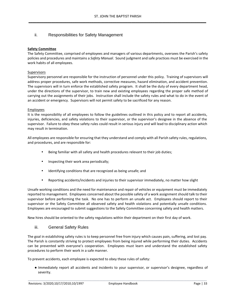#### ii. Responsibilities for Safety Management

#### **Safety Committee**

The Safety Committee, comprised of employees and managers of various departments, oversees the Parish's safety policies and procedures and maintains a *Safety Manual*. Sound judgment and safe practices must be exercised in the work habits of all employees.

#### Supervisors

Supervisory personnel are responsible for the instruction of personnel under this policy. Training of supervisors will address proper procedures, safe work methods, corrective measures, hazard elimination, and accident prevention. The supervisors will in turn enforce the established safety program. It shall be the duty of every department head, under the directions of the supervisor, to train new and existing employees regarding the proper safe method of carrying out the assignments of their jobs. Instruction shall include the safety rules and what to do in the event of an accident or emergency. Supervisors will not permit safety to be sacrificed for any reason.

#### Employees

It is the responsibility of all employees to follow the guidelines outlined in this policy and to report all accidents, injuries, deficiencies, and safety violations to their supervisor, or the supervisor's designee in the absence of the supervisor. Failure to obey these safety rules could result in serious injury and will lead to disciplinary action which may result in termination.

All employees are responsible for ensuring that they understand and comply with all Parish safety rules, regulations, and procedures, and are responsible for:

- Being familiar with all safety and health procedures relevant to their job duties;
- Inspecting their work area periodically;
- Identifying conditions that are recognized as being unsafe; and
- Reporting accidents/incidents and injuries to their supervisor immediately, no matter how slight

Unsafe working conditions and the need for maintenance and repair of vehicles or equipment must be immediately reported to management. Employees concerned about the possible safety of a work assignment should talk to their supervisor before performing the task. No one has to perform an unsafe act. Employees should report to their supervisor or the Safety Committee all observed safety and health violations and potentially unsafe conditions. Employees are encouraged to submit suggestions to the Safety Committee concerning safety and health matters.

New hires should be oriented to the safety regulations within their department on their first day of work.

#### iii. General Safety Rules

The goal in establishing safety rules is to keep personnel free from injury which causes pain, suffering, and lost pay. The Parish is constantly striving to protect employees from being injured while performing their duties. Accidents can be prevented with everyone's cooperation. Employees must learn and understand the established safety procedures to perform their work in a safe manner.

To prevent accidents, each employee is expected to obey these rules of safety:

● Immediately report all accidents and incidents to your supervisor, or supervisor's designee, regardless of severity.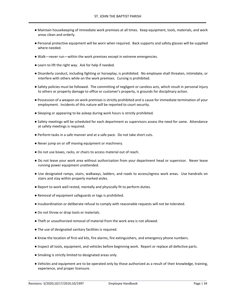- Maintain housekeeping of immediate work premises at all times. Keep equipment, tools, materials, and work areas clean and orderly.
- Personal protective equipment will be worn when required. Back supports and safety glasses will be supplied where needed.
- Walk—never run—within the work premises except in extreme emergencies.
- Learn to lift the right way. Ask for help if needed.
- Disorderly conduct, including fighting or horseplay, is prohibited. No employee shall threaten, intimidate, or interfere with others while on the work premises. Cursing is prohibited.
- Safety policies must be followed. The committing of negligent or careless acts, which result in personal injury to others or property damage to office or customer's property, is grounds for disciplinary action.
- Possession of a weapon on work premises is strictly prohibited and is cause for immediate termination of your employment. Incidents of this nature will be reported to court security.
- Sleeping or appearing to be asleep during work hours is strictly prohibited.
- Safety meetings will be scheduled for each department as supervisors assess the need for same. Attendance at safety meetings is required.
- Perform tasks in a safe manner and at a safe pace. Do not take short cuts.
- Never jump on or off moving equipment or machinery.
- Do not use boxes, racks, or chairs to access material out of reach.
- Do not leave your work area without authorization from your department head or supervisor. Never leave running power equipment unattended.
- Use designated ramps, stairs, walkways, ladders, and roads to access/egress work areas. Use handrails on stairs and stay within properly marked aisles.
- Report to work well rested, mentally and physically fit to perform duties.
- Removal of equipment safeguards or tags is prohibited.
- Insubordination or deliberate refusal to comply with reasonable requests will not be tolerated.
- Do not throw or drop tools or materials.
- Theft or unauthorized removal of material from the work area is not allowed.
- The use of designated sanitary facilities is required.
- Know the location of first-aid kits, fire alarms, fire extinguishers, and emergency phone numbers.
- Inspect all tools, equipment, and vehicles before beginning work. Report or replace all defective parts.
- Smoking is strictly limited to designated areas only.
- Vehicles and equipment are to be operated only by those authorized as a result of their knowledge, training, experience, and proper licensure.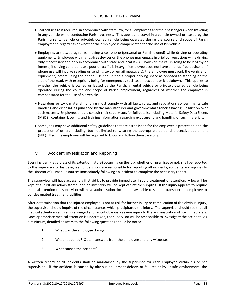- Seatbelt usage is required, in accordance with state law, for all employees and their passengers when traveling in any vehicle while conducting Parish business. This applies to travel in a vehicle owned or leased by the Parish, a rental vehicle or privately-owned vehicle being operated during the course and scope of Parish employment, regardless of whether the employee is compensated for the use of his vehicle.
- Employees are discouraged from using a cell phone (personal or Parish owned) while driving or operating equipment. Employees with hands-free devices on the phones may engage in brief conversations while driving only if necessary and only in accordance with state and local laws. However, if a call is going to be lengthy or intense, if driving conditions are poor or traffic is heavy, if employee does not have a hands-free device, or if phone use will involve reading or sending text or email message(s), the employee must park the vehicle (or equipment) before using the phone. He should find a proper parking space as opposed to stopping on the side of the road, with exceptions being for emergencies such as an accident or breakdown. This applies to whether the vehicle is owned or leased by the Parish, a rental vehicle or privately-owned vehicle being operated during the course and scope of Parish employment, regardless of whether the employee is compensated for the use of his vehicle.
- Hazardous or toxic material handling must comply with all laws, rules, and regulations concerning its safe handling and disposal, as published by the manufacturer and governmental agencies having jurisdiction over such matters. Employees should consult their supervisors for full details, including Material Safety Data Sheets (MSDS), container labeling, and training information regarding exposure to and handling of such materials.
- Some jobs may have additional safety guidelines that are established for the employee's protection and the protection of others including, but not limited to, wearing the appropriate personal protective equipment (PPE). If so, the employee will be required to know and follow them carefully.

#### iv. Accident Investigation and Reporting

Every incident (regardless of its extent or nature) occurring on the job, whether on premises or not, shall be reported to the supervisor or his designee. Supervisors are responsible for reporting all incidents/accidents and injuries to the Director of Human Resources immediately following an incident to complete the necessary report.

The supervisor will have access to a first aid kit to provide immediate first aid treatment or attention. A log will be kept of all first aid administered, and an inventory will be kept of first aid supplies. If the injury appears to require medical attention the supervisor will have authorization documents available to send or transport the employee to our designated treatment facilities.

After determination that the injured employee is not at risk for further injury or complication of the obvious injury, the supervisor should inquire of the circumstances which precipitated the injury. The supervisor should see that all medical attention required is arranged and report obviously severe injury to the administration office immediately. Once appropriate medical attention is undertaken, the supervisor will be responsible to investigate the accident. As a minimum, detailed answers to the following questions should be noted:

- 1. What was the employee doing?
- 2. What happened? Obtain answers from the employee and any witnesses.
- 3. What caused the accident?

A written record of all incidents shall be maintained by the supervisor for each employee within his or her supervision. If the accident is caused by obvious equipment defects or failures or by unsafe environment, the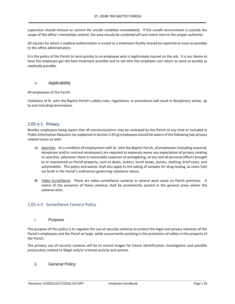supervisor should remove or correct the unsafe condition immediately. If the unsafe environment is outside the scope of the office's immediate control, the area should be cordoned off and notice sent to the proper authority.

All injuries for which a medical authorization is issued to a treatment facility should be reported as soon as possible to the office administration.

It is the policy of the Parish to tend quickly to an employee who is legitimately injured on the job. It is our desire to have the employee get the best treatment possible and to see that the employee can return to work as quickly as medically possible.

#### v. Applicability

All employees of the Parish.

Violations of St. John the Baptist Parish's safety rules, regulations, or procedures will result in disciplinary action, up to and including termination.

#### 2.05 o-1 Privacy

Besides employees being aware that all communications may be reviewed by the Parish at any time or included in Public Information Requests (as explained in Section 2.05 g) employees should be aware of the following two privacy related issues as well:

- A) Searches. As a condition of employment with St. John the Baptist Parish, all employees (including seasonal, temporary and/or contract employees) are required to expressly waive any expectation of privacy relating to searches, whenever there is reasonable suspicion of wrongdoing, of any and all personal effects brought to or maintained on Parish property, such as desks, lockers, lunch boxes, purses, clothing, brief cases, and automobiles. This policy and waiver shall also apply to the taking of samples for drug testing, as more fully set forth in the Parish's ordinances governing substance abuse.
- B) Video Surveillance. There are video surveillance cameras in several work areas on Parish premises. A notice of the presence of these cameras shall be prominently posted in the general areas where the cameras exist.

#### 2.05 o-2 Surveillance Camera Policy

#### i. Purpose

The purpose of this policy is to regulate the use of security cameras to protect the legal and privacy interests of the Parish's employees and the Parish at large, while concurrently assisting in the protection of safety in the property of the Parish.

The primary use of security cameras will be to record images for future identification, investigation and possible prosecution related to illegal and/or criminal activity and actions.

ii. General Policy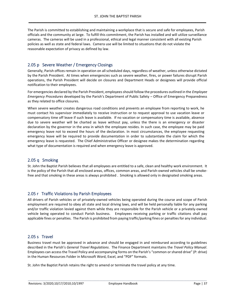The Parish is committed to establishing and maintaining a workplace that is secure and safe for employees, Parish officials and the community at large. To fulfill this commitment, the Parish has installed and will utilize surveillance cameras. The cameras will be used in a professional, ethical and legal manner consistent with all existing Parish policies as well as state and federal laws. Camera use will be limited to situations that do not violate the reasonable expectation of privacy as defined by law.

#### 2.05 p Severe Weather / Emergency Closings

Generally, Parish offices remain in operation on all scheduled days, regardless of weather, unless otherwise dictated by the Parish President. At times when emergencies such as severe weather, fires, or power failures disrupt Parish operations, the Parish President will decide on closures and Department Heads or designees will provide official notification to their employees.

For emergencies declared by the Parish President, employees should follow the procedures outlined in the *Employee Emergency Procedures* developed by the Parish's Department of Public Safety – Office of Emergency Preparedness as they related to office closures.

When severe weather creates dangerous road conditions and prevents an employee from reporting to work, he must contact his supervisor immediately to receive instruction or to request approval to use vacation leave or compensatory time off leave if such leave is available. If no vacation or compensatory time is available, absence due to severe weather will be charted as leave without pay, unless the there is an emergency or disaster declaration by the governor in the area in which the employee resides. In such case, the employee may be paid emergency leave not to exceed the hours of the declaration. In most circumstances, the employee requesting emergency leave will be required to provide documentation in order to substantiate the claim for which the emergency leave is requested. The Chief Administrative Officer or designee makes the determination regarding what type of documentation is required and when emergency leave is approved.

#### 2.05 q Smoking

St. John the Baptist Parish believes that all employees are entitled to a safe, clean and healthy work environment. It is the policy of the Parish that all enclosed areas, offices, common areas, and Parish-owned vehicles shall be smokefree and that smoking in these areas is always prohibited . Smoking is allowed only in designated smoking areas.

#### 2.05 r Traffic Violations by Parish Employees

All drivers of Parish vehicles or of privately-owned vehicles being operated during the course and scope of Parish employment are required to obey all state and local driving laws, and will be held personally liable for any parking and/or traffic violation levied against them while they are responsible for the Parish vehicle or a privately-owned vehicle being operated to conduct Parish business. Employees receiving parking or traffic citations shall pay applicable fines or penalties. The Parish is prohibited from paying traffic/parking fines or penalties for any individual.

#### 2.05 s Travel

Business travel must be approved in advance and should be engaged in and reimbursed according to guidelines described in the Parish's *General Travel Regulations*. The Finance Department maintains the *Travel Policy Manual*. Employees can access the Travel Policy and accompanying forms on the Parish's "common or shared drive" (P: drive) in the Human Resources Folder in Microsoft Word, Excel, and "PDF" formats.

\_\_\_\_\_\_\_\_\_\_\_\_\_\_\_\_\_\_\_\_\_\_\_\_\_\_\_\_\_\_\_\_\_\_\_\_\_\_\_\_\_\_\_\_\_\_\_\_\_\_\_\_\_\_\_\_\_\_\_\_\_\_\_\_\_\_\_\_\_\_\_\_\_\_\_\_\_\_\_\_\_\_\_\_\_\_\_\_\_\_\_\_\_\_\_\_\_\_\_\_\_\_\_\_\_\_\_\_\_\_\_\_\_\_\_\_\_

St. John the Baptist Parish retains the right to amend or terminate the travel policy at any time.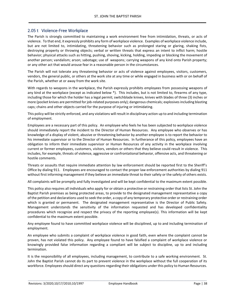#### 2.05 t Violence-Free Workplace

The Parish is strongly committed to maintaining a work environment free from intimidation, threats, or acts of violence. To that end, it expressly prohibits any form of workplace violence. Examples of workplace violence include, but are not limited to, intimidating, threatening behavior such as prolonged staring or glaring, shaking fists, destroying property or throwing objects; verbal or written threats that express an intent to inflict harm; hostile behavior; physical attacks such as hitting, pushing, shoving, kicking, holding, impeding or blocking the movement of another person; vandalism; arson; sabotage; use of weapons; carrying weapons of any kind onto Parish property; or any other act that would arouse fear in a reasonable person in the circumstances.

The Parish will not tolerate any threatening behavior or acts of violence against employees, visitors, customers, vendors, the general public, or others at the work site at any time or while engaged in business with or on behalf of the Parish, whether at or away from the work site.

With regards to weapons in the workplace, the Parish expressly prohibits employees from possessing weapons of any kind at the workplace (except as indicated below \*). This includes, but is not limited to, firearms of any type, including those for which the holder has a legal permit; switchblade knives, knives with blades of three (3) inches or more (pocket knives are permitted for job-related purposes only); dangerous chemicals; explosives including blasting caps; chains and other objects carried for the purpose of injuring or intimidating.

This policy will be strictly enforced, and any violations will result in disciplinary action up to and including termination of employment.

Employees are a necessary part of this policy. An employee who feels he has been subjected to workplace violence should immediately report the incident to the Director of Human Resources. Any employee who observes or has knowledge of a display of violent, abusive or threatening behavior by another employee is to report the behavior to his immediate supervisor or to the Director of Human Resources. In furtherance of this policy, employees have an obligation to inform their immediate supervisor or Human Resources of any activity in the workplace involving current or former employees, customers, visitors, vendors or others that they believe could result in violence. This includes, for example, threats of violence, aggressive or confrontational behavior, offensive acts, and threatening or hostile comments.

Threats or assaults that require immediate attention by law enforcement should be reported first to the Sheriff's Office by dialing 911. Employees are encouraged to contact the proper law enforcement authorities by dialing 911 without first informing management if they believe an immediate threat to their safety or the safety of others exists.

All complaints will be promptly and fully investigated and will be kept confidential to the maximum extent possible.

This policy also requires all individuals who apply for or obtain a protective or restraining order that lists St. John the Baptist Parish premises as being protected areas, to provide to the designated management representative a copy of the petition and declarations used to seek the order, a copy of any temporary protective order or restraining order which is granted or permanent. The designated management representative is the Director of Public Safety. Management understands the sensitivity of the information requested and has developed confidentiality procedures which recognize and respect the privacy of the reporting employee(s). This information will be kept confidential to the maximum extent possible.

Any employee found to have committed workplace violence will be disciplined, up to and including termination of employment.

An employee who submits a complaint of workplace violence in good faith, even where the complaint cannot be proven, has not violated this policy. Any employee found to have falsified a complaint of workplace violence or knowingly provided false information regarding a compliant will be subject to discipline, up to and including termination.

It is the responsibility of all employees, including management, to contribute to a safe working environment. St. John the Baptist Parish cannot do its part to prevent violence in the workplace without the full cooperation of its workforce. Employees should direct any questions regarding their obligations under this policy to Human Resources.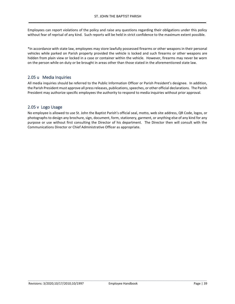Employees can report violations of the policy and raise any questions regarding their obligations under this policy without fear of reprisal of any kind. Such reports will be held in strict confidence to the maximum extent possible.

\*In accordance with state law, employees may store lawfully possessed firearms or other weapons in their personal vehicles while parked on Parish property provided the vehicle is locked and such firearms or other weapons are hidden from plain view or locked in a case or container within the vehicle. However, firearms may never be worn on the person while on duty or be brought in areas other than those stated in the aforementioned state law.

#### 2.05 u Media Inquiries

All media inquiries should be referred to the Public Information Officer or Parish President's designee. In addition, the Parish President must approve all press releases, publications, speeches, or other official declarations. The Parish President may authorize specific employees the authority to respond to media inquiries without prior approval.

#### 2.05 v Logo Usage

No employee is allowed to use St. John the Baptist Parish's official seal, motto, web site address, QR Code, logos, or photographs to design any brochure, sign, document, form, stationery, garment, or anything else of any kind for any purpose or use without first consulting the Director of his department. The Director then will consult with the Communications Director or Chief Administrative Officer as appropriate.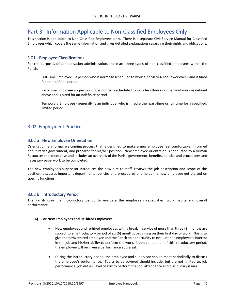## Part 3 Information Applicable to Non-Classified Employees Only

This section is applicable to Non-Classified Employees only. There is a separate Civil Service Manual for Classified Employees which covers the same information and gives detailed explanations regarding their rights and obligations.

#### 3.01 Employee Classifications

For the purposes of compensation administration, there are three types of non-classified employees within the Parish:

Full-Time Employee – a person who is normally scheduled to work a 37.50 to 40 hour workweek and is hired for an indefinite period.

Part-Time Employee - a person who is normally scheduled to work less than a normal workweek as defined above and is hired for an indefinite period.

Temporary Employee - generally is an individual who is hired either part-time or full time for a specified, limited period.

#### 3.02 Employment Practices

#### 3.02 a New Employee Orientation

Orientation is a formal welcoming process that is designed to make a new employee feel comfortable, informed about Parish government, and prepared for his/her position. New employee orientation is conducted by a Human Resources representative and includes an overview of the Parish government, benefits, policies and procedures and necessary paperwork to be completed.

The new employee's supervisor introduces the new hire to staff, reviews the job description and scope of the position, discusses important departmental policies and procedures and helps the new employee get started on specific functions.

#### 3.02 b Introductory Period

The Parish uses the introductory period to evaluate the employee's capabilities, work habits and overall performance.

#### **A) For New Employees and Re-hired Employees**

- New employees and re-hired employees with a break in service of more than three (3) months are subject to an introductory period of six (6) months, beginning on their first day of work. This is to give the new/rehired employee and the Parish an opportunity to evaluate the employee's interest in the job and his/her ability to perform the work. Upon completion of this introductory period, the employee will be given a performance appraisal.
- During the introductory period, the employee and supervisor should meet periodically to discuss the employee's performance. Topics to be covered should include, but are not limited to, job performance, job duties, level of skill to perform the job, attendance and disciplinary issues.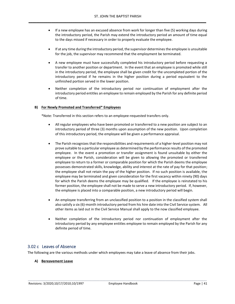- If a new employee has an excused absence from work for longer than five (5) working days during the introductory period, the Parish may extend the introductory period an amount of time equal to the days missed if necessary in order to properly evaluate the employee.
- If at any time during the introductory period, the supervisor determines the employee is unsuitable for the job, the supervisor may recommend that the employment be terminated.
- A new employee must have successfully completed his introductory period before requesting a transfer to another position or department. In the event that an employee is promoted while still in the introductory period, the employee shall be given credit for the uncompleted portion of the introductory period if he remains in the higher position during a period equivalent to the unfinished portion served in the lower position.
- Neither completion of the introductory period nor continuation of employment after the introductory period entitles an employee to remain employed by the Parish for any definite period of time.

#### **B) For Newly Promoted and Transferred\* Employees**

\*Note: Transferred in this section refers to an employee-requested transfers only.

- All regular employees who have been promoted or transferred to a new position are subject to an introductory period of three (3) months upon assumption of the new position. Upon completion of this introductory period, the employee will be given a performance appraisal.
- The Parish recognizes that the responsibilities and requirements of a higher-level position may not prove suitable to a particular employee as determined by the performance results of the promoted employee. In the event a promotion or transfer assignment is found unsuitable by either the employee or the Parish, consideration will be given to allowing the promoted or transferred employee to return to a former or comparable position for which the Parish deems the employee possesses demonstrated skills, knowledge, ability and interest at the rate of pay for that position; the employee shall not retain the pay of the higher position. If no such position is available, the employee may be terminated and given consideration for the first vacancy within ninety (90) days for which the Parish deems the employee may be qualified. If the employee is reinstated to his former position, the employee shall not be made to serve a new introductory period. If, however, the employee is placed into a comparable position, a new introductory period will begin.
- An employee transferring from an unclassified position to a position in the classified system shall also satisfy a six (6)-month introductory period from his hire date into the Civil Service system. All other items as laid out in the Civil Service Manual shall apply to the now classified employee.
- Neither completion of the introductory period nor continuation of employment after the introductory period by any employee entitles employee to remain employed by the Parish for any definite period of time.

#### 3.02 c Leaves of Absence

The following are the various methods under which employees may take a leave of absence from their jobs.

#### **A) Bereavement Leave**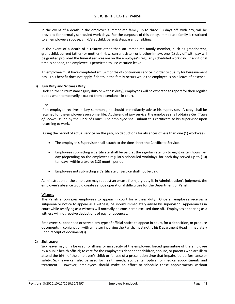In the event of a death in the employee's immediate family up to three (3) days off, with pay, will be provided for normally scheduled work days. For the purposes of this policy, immediate family is restricted to an employee's spouse, child/stepchild, parent/stepparent or sibling.

In the event of a death of a relative other than an immediate family member, such as grandparent, grandchild, current father- or mother-in-law, current sister- or brother-in-law, one (1) day off with pay will be granted provided the funeral services are on the employee's regularly scheduled work day. If additional time is needed, the employee is permitted to use vacation leave.

An employee must have completed six (6) months of continuous service in order to qualify for bereavement pay. This benefit does not apply if death in the family occurs while the employee is on a leave of absence.

#### **B) Jury Duty and Witness Duty**

Under either circumstance (jury duty or witness duty), employees will be expected to report for their regular duties when temporarily excused from attendance in court.

#### Jury

If an employee receives a jury summons, he should immediately advise his supervisor. A copy shall be retained for the employee's personnel file. At the end of jury service, the employee shall obtain a *Certificate of Service* issued by the Clerk of Court. The employee shall submit this certificate to his supervisor upon returning to work.

During the period of actual service on the jury, no deductions for absences of less than one (1) workweek.

- The employee's Supervisor shall attach to the time sheet the Certificate Service.
- Employees submitting a certificate shall be paid at the regular rate, up to eight or ten hours per day (depending on the employees regularly scheduled workday), for each day served up to (10) ten days, within a twelve (12) month period.
- Employees not submitting a Certificate of Service shall not be paid.

Administration or the employee may request an excuse from jury duty if, in Administration's judgment, the employee's absence would create serious operational difficulties for the Department or Parish.

#### Witness

The Parish encourages employees to appear in court for witness duty. Once an employee receives a subpoena or notice to appear as a witness, he should immediately advise his supervisor. Appearances in court while testifying as a witness will normally be considered excused time off. Employees appearing as a witness will not receive deductions of pay for absences.

Employees subpoenaed or served any type of official notice to appear in court, for a deposition, or produce documents in conjunction with a matter involving the Parish, must notify his Department Head immediately upon receipt of document(s).

#### **C) Sick Leave**

Sick leave may only be used for illness or incapacity of the employee; forced quarantine of the employee by a public health official; to care for the employee's dependent children, spouse, or parents who are ill; to attend the birth of the employee's child; or for use of a prescription drug that impairs job performance or safety. Sick leave can also be used for health needs, e.g. dental, optical, or medical appointments and treatment. However, employees should make an effort to schedule these appointments without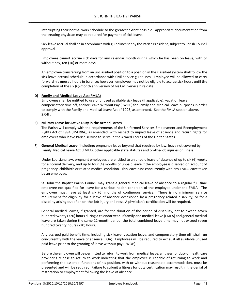interrupting their normal work schedule to the greatest extent possible. Appropriate documentation from the treating physician may be required for payment of sick leave.

Sick leave accrual shall be in accordance with guidelines set by the Parish President, subject to Parish Council approval.

Employees cannot accrue sick days for any calendar month during which he has been on leave, with or without pay, ten (10) or more days.

An employee transferring from an unclassified position to a position in the classified system shall follow the sick leave accrual schedule in accordance with Civil Service guidelines. Employee will be allowed to carry forward his unused hours in balance; however, employee may not be eligible to accrue sick hours until the completion of the six (6)-month anniversary of his Civil Service hire date.

#### **D) Family and Medical Leave Act (FMLA)**

Employees shall be entitled to use of unused available sick leave (if applicable), vacation leave, compensatory time off, and/or Leave Without Pay (LWOP) for Family and Medical Leave purposes in order to comply with the Family and Medical Leave Act of 1993, as amended. See the FMLA section above, 2.04h.

#### **E) Military Leave for Active Duty in the Armed Forces**

The Parish will comply with the requirements of the Uniformed Services Employment and Reemployment Rights Act of 1994 (USERRA), as amended, with respect to unpaid leave of absence and return rights for employees who leave Parish service to serve in the Armed Forces of the United States.

**F) General Medical Leave** (Including: pregnancy leave beyond that required by law, leave not covered by Family Medical Leave Act (FMLA), other applicable state statutes and on-the-job injuries or illness).

Under Louisiana law, pregnant employees are entitled to an unpaid leave of absence of up to six (6) weeks for a normal delivery, and up to four (4) months of unpaid leave if the employee is disabled on account of pregnancy, childbirth or related medical condition. This leave runs concurrently with any FMLA leave taken by an employee.

St. John the Baptist Parish Council may grant a general medical leave of absence to a regular full time employee not qualified for leave for a serious health condition of the employee under the FMLA. The employee must have at least six (6) months of continuous service. There is no minimum service requirement for eligibility for a leave of absence occasioned by a pregnancy-related disability, or for a disability arising out of an on-the-job injury or illness. A physician's certification will be required.

General medical leaves, if granted, are for the duration of the period of disability, not to exceed seven hundred twenty (720) hours during a calendar year. If family and medical leave (FMLA) and general medical leave are taken during the same 12-month period, the total combined leave time may not exceed seven hundred twenty hours (720) hours.

Any accrued paid benefit time, including sick leave, vacation leave, and compensatory time off, shall run concurrently with the leave of absence (LOA). Employees will be required to exhaust all available unused paid leave prior to the granting of leave without pay (LWOP).

Before the employee will be permitted to return to work from medical leave, a fitness for duty or healthcare provider's release to return to work indicating that the employee is capable of returning to work and performing the essential functions of his position, with or without reasonable accommodation, must be presented and will be required. Failure to submit a fitness for duty certification may result in the denial of restoration to employment following the leave of absence.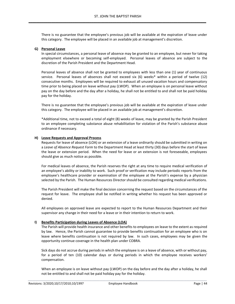There is no guarantee that the employee's previous job will be available at the expiration of leave under this category. The employee will be placed in an available job at management's discretion.

#### **G) Personal Leave**

In special circumstances, a personal leave of absence may be granted to an employee, but never for taking employment elsewhere or becoming self-employed. Personal leaves of absence are subject to the discretion of the Parish President and the Department Head.

Personal leaves of absence shall not be granted to employees with less than one (1) year of continuous service. Personal leaves of absences shall not exceed six (6) weeks\* within a period of twelve (12) consecutive months. Employees will be required to exhaust all unused vacation hours and compensatory time prior to being placed on leave without pay (LWOP). When an employee is on personal leave without pay on the day before and the day after a holiday, he shall not be entitled to and shall not be paid holiday pay for the holiday.

There is no guarantee that the employee's previous job will be available at the expiration of leave under this category. The employee will be placed in an available job at management's discretion.

\*Additional time, not to exceed a total of eight (8) weeks of leave, may be granted by the Parish President to an employee completing substance abuse rehabilitation for violation of the Parish's substance abuse ordinance if necessary.

#### **H) Leave Requests and Approval Process**

Requests for leave of absence (LOA) or an extension of a leave ordinarily should be submitted in writing on a *Leave of Absence Request Form* to the Department Head at least thirty (30) days before the start of leave the leave or extension period. When the need for leave or an extension is not foreseeable, employees should give as much notice as possible.

For medical leaves of absence, the Parish reserves the right at any time to require medical verification of an employee's ability or inability to work. Such proof or verification may include periodic reports from the employee's healthcare provider or examination of the employee at the Parish's expense by a physician selected by the Parish. The Human Resources Director should be consulted regarding medical verifications.

The Parish President will make the final decision concerning the request based on the circumstances of the request for leave. The employee shall be notified in writing whether his request has been approved or denied.

All employees on approved leave are expected to report to the Human Resources Department and their supervisor any change in their need for a leave or in their intention to return to work.

#### **I) Benefits Participation during Leaves of Absence (LOA)**

The Parish will provide health insurance and other benefits to employees on leave to the extent as required by law. Hence, the Parish cannot guarantee to provide benefits continuation for an employee who is on leave where benefits continuation is not required by law. In such cases, employees may be given the opportunity continue coverage in the health plan under COBRA.

Sick days do not accrue during periods in which the employee is on a leave of absence, with or without pay, for a period of ten (10) calendar days or during periods in which the employee receives workers' compensation.

When an employee is on leave without pay (LWOP) on the day before and the day after a holiday, he shall not be entitled to and shall not be paid holiday pay for the holiday.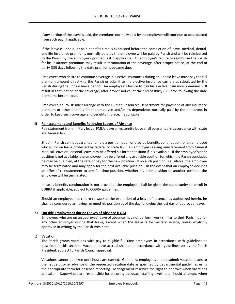If any portion of the leave is paid, the premiums normally paid by the employee will continue to be deducted from such pay, if applicable.

If the leave is unpaid, or paid benefits time is exhausted before the completion of leave, medical, dental, and life insurance premiums normally paid by the employee will be paid by Parish and will be reimbursed to the Parish by the employee upon request if applicable. An employee's failure to reimburse the Parish for his insurance premiums may result in termination of the coverage, after proper notice, at the end of thirty (30) days following the date premiums became due.

Employees who desire to continue coverage in elective insurances during an unpaid leave must pay the full premium amount directly to the Parish or submit to the elective insurance carriers as stipulated by the Parish during the unpaid leave period. An employee's failure to pay his elective insurance premiums will result in termination of the coverage, after proper notice, at the end of thirty (30) days following the date premiums became due.

Employees on LWOP must arrange with the Human Resources Department for payment of any insurance premium or other benefits for the employee and/or his dependents normally paid by the employee, in order to keep such coverage and benefits in place, if applicable.

#### **J) Reinstatement and Benefits Following Leaves of Absence**

Reinstatement from military leave, FMLA leave or maternity leave shall be granted in accordance with state and federal law.

St. John Parish cannot guarantee to hold a position open or provide benefits continuation for an employee who is not on leave protected by federal or state law. An employee seeking reinstatement from General Medical Leave or Personal Leave may be offered his former position if it is available. If the employee's prior position is not available, the employee may be offered any available position for which the Parish concludes he may be qualified, at the rate of pay for the new position. If no such position is available, the employee may be terminated and may apply for the next available position. In the event that an employee declines an offer of reinstatement to any full time position, whether his prior position or another position, the employee will be terminated.

In cases benefits continuation is not provided, the employee shall be given the opportunity to enroll in COBRA if applicable, subject to COBRA guidelines.

Should an employee not return to work at the expiration of a leave of absence, as authorized herein, he shall be considered as having resigned his position as of the day following the last day of approved leave.

#### **K) Outside Employment during Leaves of Absence (LOA)**

Employees who are on an approved leave of absence may not perform work similar to their Parish job for any other employer during that leave, except when the leave is for military service, unless explicitly approved in writing by the Parish President.

#### **L) Vacation**

The Parish grants vacations with pay to eligible full time employees in accordance with guidelines as described in this section. Vacation leave accrual shall be in accordance with guidelines set by the Parish President, subject to Parish Council approval.

Vacations cannot be taken until hours are earned. Generally, employees should submit vacation plans to their supervisor in advance of the requested vacation date as specified by departmental guidelines using the appropriate form for absence reporting. Management reserves the right to approve when vacations are taken. Supervisors are responsible for ensuring adequate staffing levels and should attempt, when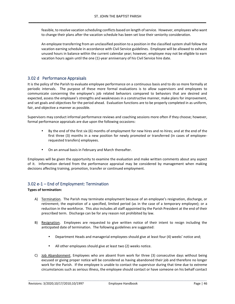feasible, to resolve vacation scheduling conflicts based on length of service. However, employees who want to change their plans after the vacation schedule has been set lose their seniority consideration.

An employee transferring from an unclassified position to a position in the classified system shall follow the vacation earning schedule in accordance with Civil Service guidelines. Employee will be allowed to exhaust unused hours in balance within the current calendar year; however, employee may not be eligible to earn vacation hours again until the one (1)-year anniversary of his Civil Service hire date.

#### 3.02 d Performance Appraisals

It is the policy of the Parish to evaluate employee performance on a continuous basis and to do so more formally at periodic intervals. The purpose of these more formal evaluations is to allow supervisors and employees to communicate concerning the employee's job related behaviors compared to behaviors that are desired and expected, assess the employee's strengths and weaknesses in a constructive manner, make plans for improvement, and set goals and objectives for the period ahead. Evaluation functions are to be properly completed in as uniform, fair, and objective a manner as possible.

Supervisors may conduct informal performance reviews and coaching sessions more often if they choose; however, formal performance appraisals are due upon the following occasions:

- By the end of the first six (6) months of employment for new hires and re-hires; and at the end of the first three (3) months in a new position for newly promoted or transferred (in cases of employeerequested transfers) employees.
- On an annual basis in February and March thereafter.

Employees will be given the opportunity to examine the evaluation and make written comments about any aspect of it. Information derived from the performance appraisal may be considered by management when making decisions affecting training, promotion, transfer or continued employment.

#### 3.02 e-1 – End of Employment: Termination

#### **Types of termination:**

- A) Termination. The Parish may terminate employment because of an employee's resignation, discharge, or retirement; the expiration of a specified, limited period (as in the case of a temporary employee); or a reduction in the workforce. This also includes all staff appointed by the Parish President at the end of their prescribed term. Discharge can be for any reason not prohibited by law.
- B) Resignation. Employees are requested to give written notice of their intent to resign including the anticipated date of termination. The following guidelines are suggested:
	- Department Heads and managerial employees should give at least four (4) weeks' notice and;
	- All other employees should give at least two (2) weeks notice.
- C) Job Abandonment. Employees who are absent from work for three (3) consecutive days without being excused or giving proper notice will be considered as having abandoned their job and therefore no longer work for the Parish. If the employee is unable to contact the supervisor during that time due to extreme circumstances such as serious illness, the employee should contact or have someone on his behalf contact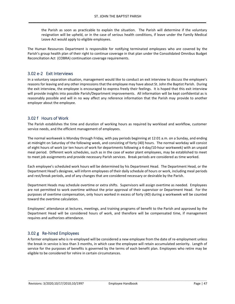the Parish as soon as practicable to explain the situation. The Parish will determine if the voluntary resignation will be upheld, or in the case of serious health conditions, if leave under the Family Medical Leave Act would apply to eligible employees.

The Human Resources Department is responsible for notifying terminated employees who are covered by the Parish's group health plan of their right to continue coverage in that plan under the Consolidated Omnibus Budget Reconciliation Act (COBRA) continuation coverage requirements.

#### 3.02 e-2 Exit Interviews

In a voluntary separation situation, management would like to conduct an exit interview to discuss the employee's reasons for leaving and any other impressions that the employee may have about St. John the Baptist Parish. During the exit interview, the employee is encouraged to express freely their feelings. It is hoped that this exit interview will provide insights into possible Parish/Department improvements. All information will be kept confidential as is reasonably possible and will in no way affect any reference information that the Parish may provide to another employer about the employee.

#### 3.02 f Hours of Work

The Parish establishes the time and duration of working hours as required by workload and workflow, customer service needs, and the efficient management of employees.

The normal workweek is Monday through Friday, with pay periods beginning at 12:01 a.m. on a Sunday, and ending at midnight on Saturday of the following week, and consisting of forty (40) hours. The normal workday will consist of eight hours of work (or ten hours of work for departments following a 4-day/10-hour workweek) with an unpaid meal period. Different work schedules, such as in the case of water plant employees, may be established to meet to meet job assignments and provide necessary Parish services. Break periods are considered as time worked.

Each employee's scheduled work hours will be determined by his Department Head. The Department Head, or the Department Head's designee, will inform employees of their daily schedule of hours or work, including meal periods and rest/break periods, and of any changes that are considered necessary or desirable by the Parish.

Department Heads may schedule overtime or extra shifts. Supervisors will assign overtime as needed. Employees are not permitted to work overtime without the prior approval of their supervisor or Department Head. For the purposes of overtime compensation, only hours worked in excess of forty (40) during a workweek will be counted toward the overtime calculation.

Employees' attendance at lectures, meetings, and training programs of benefit to the Parish and approved by the Department Head will be considered hours of work, and therefore will be compensated time, if management requires and authorizes attendance.

#### 3.02 g Re-hired Employees

A former employee who is re-employed will be considered a new employee from the date of re-employment unless the break in service is less than 3 months, in which case the employee will retain accumulated seniority. Length of service for the purposes of benefits is governed by the terms of each benefit plan. Employees who retire may be eligible to be considered for rehire in certain circumstances.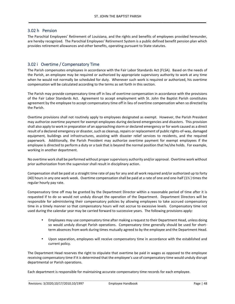#### 3.02 h Pension

The Parochial Employees' Retirement of Louisiana, and the rights and benefits of employees provided hereunder, are hereby recognized. The Parochial Employees' Retirement System is a public defined benefit pension plan which provides retirement allowances and other benefits, operating pursuant to State statutes.

#### 3.02 i Overtime / Compensatory Time

The Parish compensates employees in accordance with the Fair Labor Standards Act (FLSA). Based on the needs of the Parish, an employee may be required or authorized by appropriate supervisory authority to work at any time when he would not normally be scheduled for duty. Whenever such work is required or authorized, his overtime compensation will be calculated according to the terms as set forth in this section.

The Parish may provide compensatory time off in lieu of overtime compensation in accordance with the provisions of the Fair Labor Standards Act. Agreement to accept employment with St. John the Baptist Parish constitutes agreement by the employee to accept compensatory time off in lieu of overtime compensation when so directed by the Parish.

Overtime provisions shall not routinely apply to employees designated as exempt. However, the Parish President may authorize overtime payment for exempt employees during declared emergencies and disasters. This provision shall also apply to work in preparation of an approaching storm or declared emergency or for work caused as a direct result of a declared emergency or disaster, such as cleanup, repairs or replacement of public rights-of-way, damaged equipment, buildings and infrastructures, assisting with disaster relief services to residents, and the required paperwork. Additionally, the Parish President may authorize overtime payment for exempt employees if the employee is directed to perform a duty or a task that is beyond the normal position that he/she holds. For example, working in another department.

No overtime work shall be performed without proper supervisory authority and/or approval. Overtime work without prior authorization from the supervisor shall result in disciplinary action.

Compensation shall be paid at a straight time rate of pay for any and all work required and/or authorized up to forty (40) hours in any one work week. Overtime compensation shall be paid at a rate of one and one-half (1½ ) times the regular hourly pay rate.

Compensatory time off may be granted by the Department Director within a reasonable period of time after it is requested if to do so would not unduly disrupt the operation of the Department. Department Directors will be responsible for administering their compensatory policies by allowing employees to take accrued compensatory time in a timely manner so that compensatory hours will not accrue to excessive levels. Compensatory time not used during the calendar year may be carried forward to successive years. The following provisions apply:

- Employees may use compensatory time after making a request to their Department Head, unless doing so would unduly disrupt Parish operations. Compensatory time generally should be used for shortterm absences from work during times mutually agreed to by the employee and the Department Head.
- Upon separation, employees will receive compensatory time in accordance with the established and current policy.

The Department Head reserves the right to stipulate that overtime be paid in wages as opposed to the employee receiving compensatory time if it is determined that the employee's use of compensatory time would unduly disrupt departmental or Parish operations.

\_\_\_\_\_\_\_\_\_\_\_\_\_\_\_\_\_\_\_\_\_\_\_\_\_\_\_\_\_\_\_\_\_\_\_\_\_\_\_\_\_\_\_\_\_\_\_\_\_\_\_\_\_\_\_\_\_\_\_\_\_\_\_\_\_\_\_\_\_\_\_\_\_\_\_\_\_\_\_\_\_\_\_\_\_\_\_\_\_\_\_\_\_\_\_\_\_\_\_\_\_\_\_\_\_\_\_\_\_\_\_\_\_\_\_\_\_

Each department is responsible for maintaining accurate compensatory time records for each employee.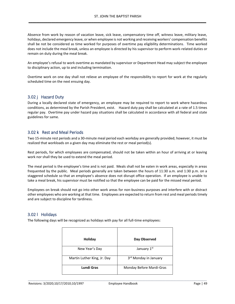Absence from work by reason of vacation leave, sick leave, compensatory time off, witness leave, military leave, holidays, declared emergency leave, or when employee is not working and receiving workers' compensation benefits shall be not be considered as time worked for purposes of overtime pay eligibility determinations. Time worked does not include the meal break, unless an employee is directed by his supervisor to perform work-related duties or remain on duty during the meal break.

An employee's refusal to work overtime as mandated by supervisor or Department Head may subject the employee to disciplinary action, up to and including termination.

Overtime work on one day shall not relieve an employee of the responsibility to report for work at the regularly scheduled time on the next ensuing day.

#### 3.02 j Hazard Duty

During a locally declared state of emergency, an employee may be required to report to work where hazardous conditions, as determined by the Parish President, exist. Hazard duty pay shall be calculated at a rate of 1.5 times regular pay. Overtime pay under hazard pay situations shall be calculated in accordance with all federal and state guidelines for same.

#### 3.02 k Rest and Meal Periods

Two 15-minute rest periods and a 30-minute meal period each workday are generally provided; however, it must be realized that workloads on a given day may eliminate the rest or meal period(s).

Rest periods, for which employees are compensated, should not be taken within an hour of arriving at or leaving work nor shall they be used to extend the meal period.

The meal period is the employee's time and is not paid. Meals shall not be eaten in work areas, especially in areas frequented by the public. Meal periods generally are taken between the hours of 11:30 a.m. and 1:30 p.m. on a staggered schedule so that an employee's absence does not disrupt office operation. If an employee is unable to take a meal break, his supervisor must be notified so that the employee can be paid for the missed meal period.

Employees on break should not go into other work areas for non-business purposes and interfere with or distract other employees who are working at that time. Employees are expected to return from rest and meal periods timely and are subject to discipline for tardiness.

#### 3.02 l Holidays

The following days will be recognized as holidays with pay for all full-time employees:

| Holiday                     | Day Observed                      |
|-----------------------------|-----------------------------------|
| New Year's Day              | January 1st                       |
| Martin Luther King, Jr. Day | 3 <sup>rd</sup> Monday in January |
| <b>Lundi Gras</b>           | Monday Before Mardi-Gras          |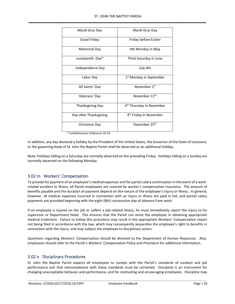| Mardi-Gras Day          | Mardi-Gras Day                       |
|-------------------------|--------------------------------------|
| Good Friday             | Friday before Easter                 |
| Memorial Day            | 4th Monday in May                    |
| Juneteenth Day*         | Third Saturday in June               |
| Independence Day        | July 4th                             |
| Labor Day               | 1 <sup>st</sup> Monday in September  |
| All Saints' Day         | November 1 <sup>st</sup>             |
| Veterans' Day           | November 11 <sup>th</sup>            |
| <b>Thanksgiving Day</b> | 4 <sup>th</sup> Thursday in November |
| Day after Thanksgiving  | 4 <sup>th</sup> Friday in November   |
| Christmas Day           | December 25 <sup>th</sup>            |

\* established per Ordinance 20-18

In addition, any day declared a holiday by the President of the United States, the Governor of the State of Louisiana, or the governing body of St. John the Baptist Parish shall be observed as an additional holiday.

Note: Holidays falling on a Saturday are normally observed on the preceding Friday. Holidays falling on a Sunday are normally observed on the following Monday.

#### 3.02 m Workers' Compensation

To provide for payment of an employee's medical expenses and for partial salary continuation in the event of a workrelated accident or illness, all Parish employees are covered by worker's compensation insurance. The amount of benefits payable and the duration of payment depend on the nature of the employee's injury or illness. In general, however, all medical expenses incurred in connection with an injury or illness are paid in full, and partial salary payments are provided beginning with the eight (8th) consecutive day of absence from work.

If an employee is injured on the job or suffers a job-related illness, he must immediately report the injury to his supervisor or Department Head. This ensures that the Parish can assist the employee in obtaining appropriate medical treatment. Failure to follow this procedure may result in the appropriate Workers' Compensation report not being filed in accordance with the law, which may consequently jeopardize the employee's right to benefits in connection with the injury, and may subject the employee to disciplinary action.

Questions regarding Workers' Compensation should be directed to the Department of Human Resources. Also, employees should refer to the Parish's *Workers' Compensation Policy and Procedure* for additional information.

#### 3.02 n Disciplinary Procedures

St. John the Baptist Parish expects all employees to comply with the Parish's standards of conduct and job performance and that noncompliance with these standards must be corrected. Discipline is an instrument for changing unacceptable behavior and performance, and for motivating and encouraging employees. Discipline may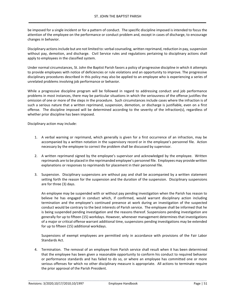be imposed for a single incident or for a pattern of conduct. The specific discipline imposed is intended to focus the attention of the employee on the performance or conduct problem and, except in cases of discharge, to encourage changes in behavior.

Disciplinary actions include but are not limited to: verbal counseling, written reprimand, reduction in pay, suspension without pay, demotion, and discharge. Civil Service rules and regulations pertaining to disciplinary actions shall apply to employees in the classified system.

Under normal circumstances, St. John the Baptist Parish favors a policy of progressive discipline in which it attempts to provide employees with notice of deficiencies or rule violations and an opportunity to improve. The progressive disciplinary procedures described in this policy may also be applied to an employee who is experiencing a series of unrelated problems involving job performance or behavior.

While a progressive discipline program will be followed in regard to addressing conduct and job performance problems in most instances, there may be particular situations in which the seriousness of the offense justifies the omission of one or more of the steps in the procedure. Such circumstances include cases where the infraction is of such a serious nature that a written reprimand, suspension, demotion, or discharge is justifiable, even on a first offense. The discipline imposed will be determined according to the severity of the infraction(s), regardless of whether prior discipline has been imposed.

Disciplinary action may include:

- 1. A verbal warning or reprimand, which generally is given for a first occurrence of an infraction, may be accompanied by a written notation in the supervisory record or in the employee's personnel file. Action necessary by the employee to correct the problem shall be discussed by supervisor.
- 2. A written reprimand signed by the employee's supervisor and acknowledged by the employee. Written reprimands are to be placed in the reprimanded employee's personnel file. Employees may provide written explanations or responses to reprimands for placement in their personnel file.
- 3. Suspension. Disciplinary suspensions are without pay and shall be accompanied by a written statement setting forth the reason for the suspension and the duration of the suspension. Disciplinary suspensions are for three (3) days.

An employee may be suspended with or without pay pending investigation when the Parish has reason to believe he has engaged in conduct which, if confirmed, would warrant disciplinary action including termination and the employee's continued presence at work during an investigation of the suspected conduct would be contrary to the best interests of Parish service. The employee shall be informed that he is being suspended pending investigation and the reasons thereof. Suspensions pending investigation are generally for up to fifteen (15) workdays. However, whenever management determines that investigations of a major or critical offense warrant additional time, suspensions pending investigations may be extended for up to fifteen (15) additional workdays.

Suspensions of exempt employees are permitted only in accordance with provisions of the Fair Labor Standards Act.

4. Termination. The removal of an employee from Parish service shall result when it has been determined that the employee has been given a reasonable opportunity to conform his conduct to required behavior or performance standards and has failed to do so, or where an employee has committed one or more serious offenses for which no other disciplinary measure is appropriate. All actions to terminate require the prior approval of the Parish President.